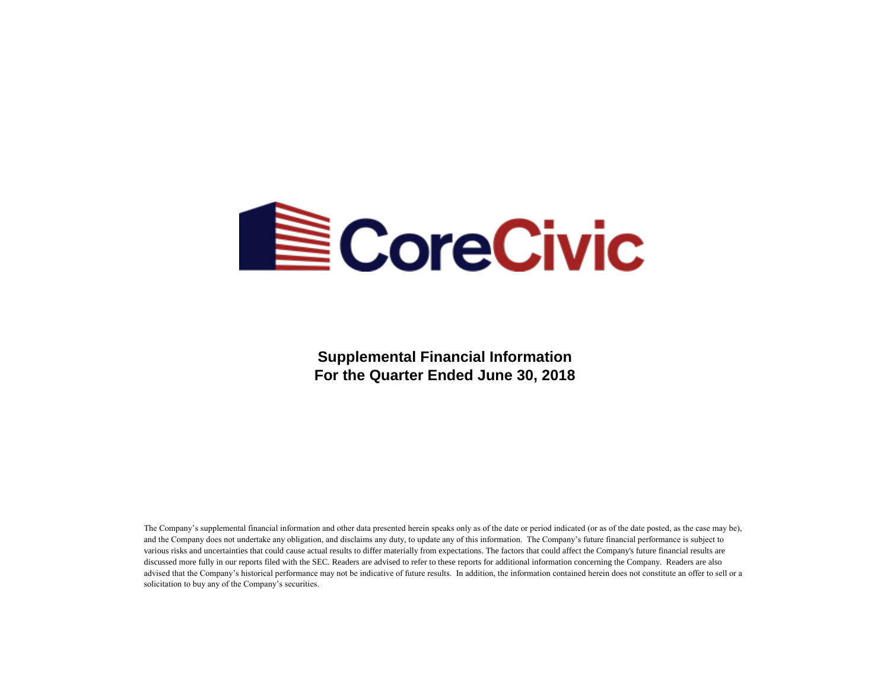

**Supplemental Financial Information For the Quarter Ended June 30, 2018**

The Company's supplemental financial information and other data presented herein speaks only as of the date or period indicated (or as of the date posted, as the case may be), and the Company does not undertake any obligation, and disclaims any duty, to update any of this information. The Company's future financial performance is subject to various risks and uncertainties that could cause actual results to differ materially from expectations. The factors that could affect the Company's future financial results are discussed more fully in our reports filed with the SEC. Readers are advised to refer to these reports for additional information concerning the Company. Readers are also advised that the Company's historical performance may not be indicative of future results. In addition, the information contained herein does not constitute an offer to sell or a solicitation to buy any of the Company's securities.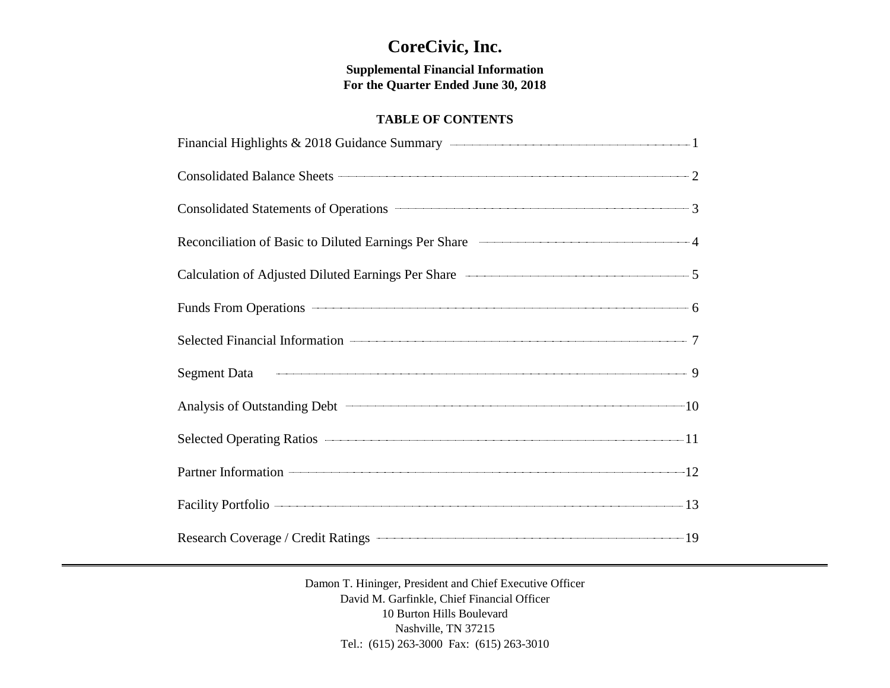# **CoreCivic, Inc.**

**Supplemental Financial Information For the Quarter Ended June 30, 2018**

# **TABLE OF CONTENTS**

| Financial Highlights & 2018 Guidance Summary <b>Constanting Constanting Constanting Constanting Constanting Constanting Constanting Constanting Constanting Constanting Constanting Constanting Constanting Constanting Constant</b> |  |
|--------------------------------------------------------------------------------------------------------------------------------------------------------------------------------------------------------------------------------------|--|
| Consolidated Balance Sheets 2                                                                                                                                                                                                        |  |
| Consolidated Statements of Operations 23                                                                                                                                                                                             |  |
| Reconciliation of Basic to Diluted Earnings Per Share 44                                                                                                                                                                             |  |
| Calculation of Adjusted Diluted Earnings Per Share <b>Calculation</b> of Adjusted Diluted Earnings Per Share                                                                                                                         |  |
| Funds From Operations 6                                                                                                                                                                                                              |  |
|                                                                                                                                                                                                                                      |  |
| Segment Data 9                                                                                                                                                                                                                       |  |
| Analysis of Outstanding Debt 10                                                                                                                                                                                                      |  |
| Selected Operating Ratios 2014 11                                                                                                                                                                                                    |  |
| Partner Information 22                                                                                                                                                                                                               |  |
| Facility Portfolio 2008 2014 13                                                                                                                                                                                                      |  |
| Research Coverage / Credit Ratings <b>Constant Coverage / Credit Ratings</b> 19                                                                                                                                                      |  |

Damon T. Hininger, President and Chief Executive Officer David M. Garfinkle, Chief Financial Officer 10 Burton Hills Boulevard Nashville, TN 37215 Tel.: (615) 263-3000 Fax: (615) 263-3010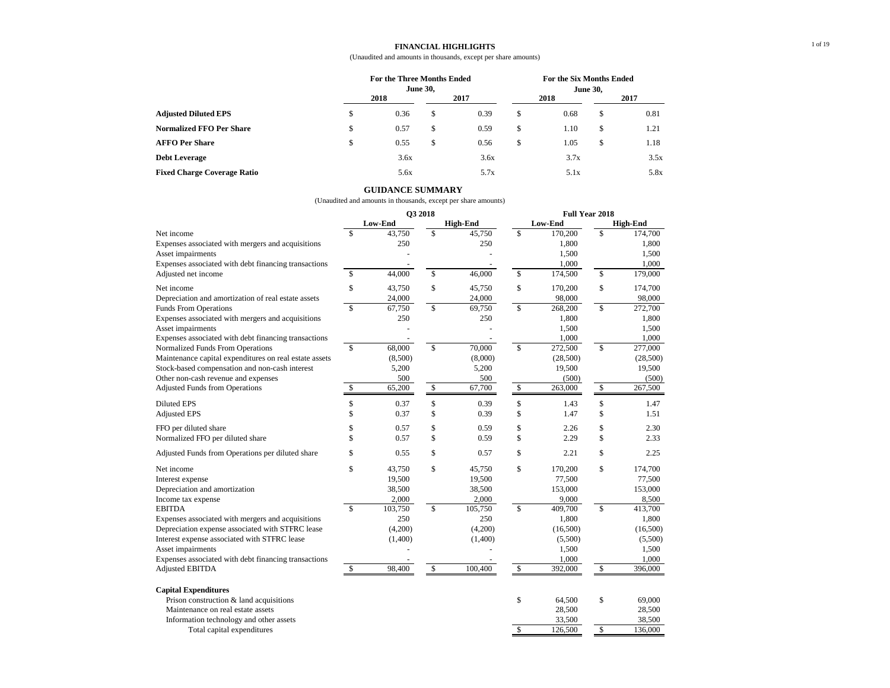#### **FINANCIAL HIGHLIGHTS**

#### (Unaudited and amounts in thousands, except per share amounts)

|                                    |    | For the Three Months Ended |                 |      | For the Six Months Ended |      |    |      |  |  |
|------------------------------------|----|----------------------------|-----------------|------|--------------------------|------|----|------|--|--|
|                                    |    |                            | <b>June 30,</b> |      |                          |      |    |      |  |  |
|                                    |    | 2018                       |                 | 2017 |                          | 2018 |    | 2017 |  |  |
| <b>Adjusted Diluted EPS</b>        | \$ | 0.36                       | \$              | 0.39 | S                        | 0.68 | S  | 0.81 |  |  |
| <b>Normalized FFO Per Share</b>    | \$ | 0.57                       | \$              | 0.59 | \$                       | 1.10 | \$ | 1.21 |  |  |
| <b>AFFO Per Share</b>              | S  | 0.55                       | \$              | 0.56 | \$                       | 1.05 | \$ | 1.18 |  |  |
| <b>Debt Leverage</b>               |    | 3.6x                       |                 | 3.6x |                          | 3.7x |    | 3.5x |  |  |
| <b>Fixed Charge Coverage Ratio</b> |    | 5.6x                       |                 | 5.7x |                          | 5.1x |    | 5.8x |  |  |

### **GUIDANCE SUMMARY**

|                                                        |                         | O3 2018 |                          |                 |                         | <b>Full Year 2018</b> |                         |                 |
|--------------------------------------------------------|-------------------------|---------|--------------------------|-----------------|-------------------------|-----------------------|-------------------------|-----------------|
|                                                        |                         | Low-End |                          | <b>High-End</b> |                         | Low-End               |                         | <b>High-End</b> |
| Net income                                             | $\mathcal{S}$           | 43,750  | $\mathcal{S}$            | 45,750          | \$                      | 170,200               | $\mathbf{\hat{s}}$      | 174,700         |
| Expenses associated with mergers and acquisitions      |                         | 250     |                          | 250             |                         | 1,800                 |                         | 1,800           |
| Asset impairments                                      |                         |         |                          |                 |                         | 1,500                 |                         | 1,500           |
| Expenses associated with debt financing transactions   |                         |         |                          |                 |                         | 1,000                 |                         | 1,000           |
| Adjusted net income                                    | $\mathbb{S}$            | 44,000  | $\overline{\mathcal{S}}$ | 46,000          | \$                      | 174,500               | $\overline{\mathbb{S}}$ | 179,000         |
| Net income                                             | \$                      | 43,750  | \$                       | 45,750          | \$                      | 170,200               | \$                      | 174,700         |
| Depreciation and amortization of real estate assets    |                         | 24,000  |                          | 24,000          |                         | 98,000                |                         | 98,000          |
| Funds From Operations                                  | $\overline{\mathbb{S}}$ | 67,750  | $\overline{\mathbb{S}}$  | 69,750          | $\overline{\mathbb{S}}$ | 268,200               | $\overline{\mathbb{S}}$ | 272,700         |
| Expenses associated with mergers and acquisitions      |                         | 250     |                          | 250             |                         | 1,800                 |                         | 1,800           |
| Asset impairments                                      |                         |         |                          |                 |                         | 1,500                 |                         | 1,500           |
| Expenses associated with debt financing transactions   |                         |         |                          |                 |                         | 1,000                 |                         | 1,000           |
| Normalized Funds From Operations                       | $\mathbb{S}$            | 68,000  | $\overline{\mathbb{S}}$  | 70,000          | \$                      | 272,500               | $\mathbb{S}$            | 277,000         |
| Maintenance capital expenditures on real estate assets |                         | (8,500) |                          | (8,000)         |                         | (28,500)              |                         | (28,500)        |
| Stock-based compensation and non-cash interest         |                         | 5,200   |                          | 5,200           |                         | 19,500                |                         | 19,500          |
| Other non-cash revenue and expenses                    |                         | 500     |                          | 500             |                         | (500)                 |                         | (500)           |
| <b>Adjusted Funds from Operations</b>                  | \$                      | 65,200  | \$                       | 67,700          | \$                      | 263,000               | \$                      | 267,500         |
| <b>Diluted EPS</b>                                     | \$                      | 0.37    | \$                       | 0.39            | \$                      | 1.43                  | \$                      | 1.47            |
| <b>Adjusted EPS</b>                                    | \$                      | 0.37    | \$                       | 0.39            | \$                      | 1.47                  | \$                      | 1.51            |
| FFO per diluted share                                  | \$                      | 0.57    | \$                       | 0.59            | \$                      | 2.26                  | \$                      | 2.30            |
| Normalized FFO per diluted share                       | \$                      | 0.57    | \$                       | 0.59            | \$                      | 2.29                  | \$                      | 2.33            |
| Adjusted Funds from Operations per diluted share       | \$                      | 0.55    | \$                       | 0.57            | \$                      | 2.21                  | \$                      | 2.25            |
| Net income                                             | \$                      | 43.750  | \$                       | 45,750          | \$                      | 170,200               | $\mathbb{S}$            | 174,700         |
| Interest expense                                       |                         | 19,500  |                          | 19,500          |                         | 77,500                |                         | 77,500          |
| Depreciation and amortization                          |                         | 38,500  |                          | 38,500          |                         | 153,000               |                         | 153,000         |
| Income tax expense                                     |                         | 2,000   |                          | 2,000           |                         | 9,000                 |                         | 8,500           |
| <b>EBITDA</b>                                          | $\mathbf{\hat{S}}$      | 103,750 | $\mathbf S$              | 105,750         | \$                      | 409,700               | $\mathbb{S}$            | 413,700         |
| Expenses associated with mergers and acquisitions      |                         | 250     |                          | 250             |                         | 1,800                 |                         | 1,800           |
| Depreciation expense associated with STFRC lease       |                         | (4,200) |                          | (4,200)         |                         | (16,500)              |                         | (16,500)        |
| Interest expense associated with STFRC lease           |                         | (1,400) |                          | (1,400)         |                         | (5,500)               |                         | (5,500)         |
| Asset impairments                                      |                         |         |                          |                 |                         | 1,500                 |                         | 1,500           |
| Expenses associated with debt financing transactions   |                         |         |                          |                 |                         | 1,000                 |                         | 1,000           |
| <b>Adjusted EBITDA</b>                                 | \$                      | 98,400  | $\overline{\mathbb{S}}$  | 100,400         | \$                      | 392,000               | $\overline{\mathbb{S}}$ | 396,000         |
| <b>Capital Expenditures</b>                            |                         |         |                          |                 |                         |                       |                         |                 |
| Prison construction & land acquisitions                |                         |         |                          |                 | \$                      | 64,500                | \$                      | 69,000          |
| Maintenance on real estate assets                      |                         |         |                          |                 |                         | 28,500                |                         | 28,500          |
| Information technology and other assets                |                         |         |                          |                 |                         | 33,500                |                         | 38,500          |
| Total capital expenditures                             |                         |         |                          |                 | \$                      | 126,500               | \$                      | 136,000         |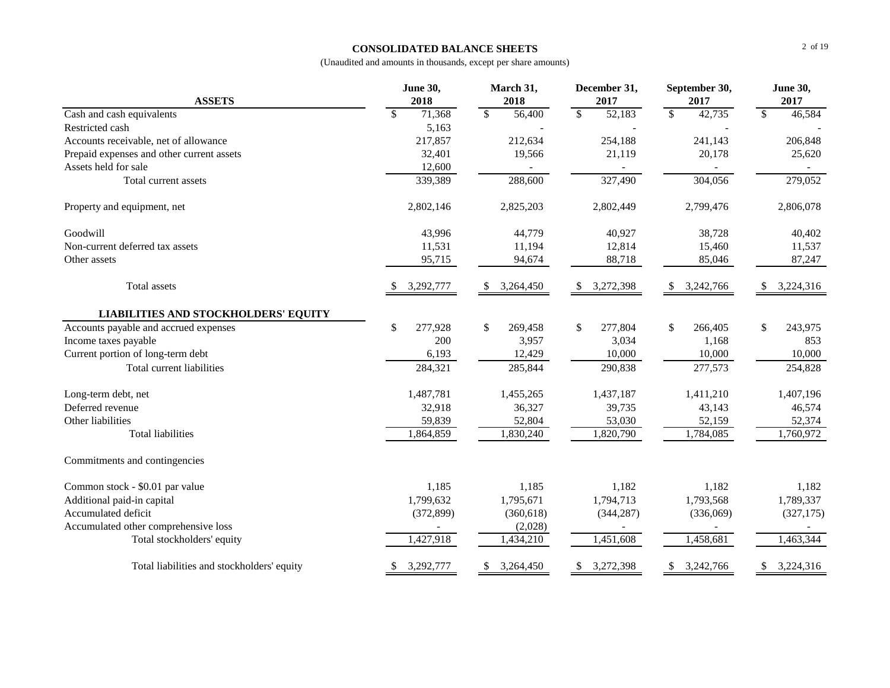# **CONSOLIDATED BALANCE SHEETS**

| <b>ASSETS</b>                               | June 30,<br>2018       | March 31,<br>2018       | December 31,<br>2017    | September 30,<br>2017  | <b>June 30,</b><br>2017 |  |
|---------------------------------------------|------------------------|-------------------------|-------------------------|------------------------|-------------------------|--|
| Cash and cash equivalents                   | $\mathbb{S}$<br>71,368 | \$<br>56,400            | $\mathbb{S}$<br>52,183  | $\mathbb{S}$<br>42,735 | $\mathbb{S}$<br>46,584  |  |
| Restricted cash                             | 5,163                  |                         |                         |                        |                         |  |
| Accounts receivable, net of allowance       | 217,857                | 212,634                 | 254,188                 | 241,143                | 206,848                 |  |
| Prepaid expenses and other current assets   | 32,401                 | 19,566                  | 21,119                  | 20,178                 | 25,620                  |  |
| Assets held for sale                        | 12,600                 |                         |                         |                        |                         |  |
| Total current assets                        | 339,389                | 288,600                 | 327,490                 | 304,056                | 279,052                 |  |
| Property and equipment, net                 | 2,802,146              | 2,825,203               | 2,802,449               | 2,799,476              | 2,806,078               |  |
| Goodwill                                    | 43,996                 | 44,779                  | 40,927                  | 38,728                 | 40,402                  |  |
| Non-current deferred tax assets             | 11,531                 | 11,194                  | 12,814                  | 15,460                 | 11,537                  |  |
| Other assets                                | 95,715                 | 94,674                  | 88,718                  | 85,046                 | 87,247                  |  |
| Total assets                                | 3,292,777              | 3,264,450<br>\$         | 3,272,398<br>S          | 3,242,766<br>\$        | 3,224,316<br>-S         |  |
| <b>LIABILITIES AND STOCKHOLDERS' EQUITY</b> |                        |                         |                         |                        |                         |  |
| Accounts payable and accrued expenses       | \$<br>277,928          | $\mathbb{S}$<br>269,458 | $\mathbb{S}$<br>277,804 | \$<br>266,405          | \$<br>243,975           |  |
| Income taxes payable                        | 200                    | 3,957                   | 3,034                   | 1,168                  | 853                     |  |
| Current portion of long-term debt           | 6,193                  | 12,429                  | 10,000                  | 10,000                 | 10,000                  |  |
| Total current liabilities                   | 284,321                | 285,844                 | 290,838                 | 277,573                | 254,828                 |  |
| Long-term debt, net                         | 1,487,781              | 1,455,265               | 1,437,187               | 1,411,210              | 1,407,196               |  |
| Deferred revenue                            | 32,918                 | 36,327                  | 39,735                  | 43,143                 | 46,574                  |  |
| Other liabilities                           | 59,839                 | 52,804                  | 53,030                  | 52,159                 | 52,374                  |  |
| <b>Total liabilities</b>                    | 1,864,859              | 1,830,240               | 1,820,790               | 1,784,085              | 1,760,972               |  |
| Commitments and contingencies               |                        |                         |                         |                        |                         |  |
| Common stock - \$0.01 par value             | 1,185                  | 1,185                   | 1,182                   | 1,182                  | 1,182                   |  |
| Additional paid-in capital                  | 1,799,632              | 1,795,671               | 1,794,713               | 1,793,568              | 1,789,337               |  |
| Accumulated deficit                         | (372, 899)             | (360, 618)              | (344, 287)              | (336,069)              | (327, 175)              |  |
| Accumulated other comprehensive loss        |                        | (2,028)                 |                         |                        |                         |  |
| Total stockholders' equity                  | 1,427,918              | 1,434,210               | 1,451,608               | 1,458,681              | 1,463,344               |  |
| Total liabilities and stockholders' equity  | 3,292,777<br>\$        | 3,264,450<br>\$         | 3,272,398<br>\$         | 3,242,766<br>\$        | 3,224,316<br>\$         |  |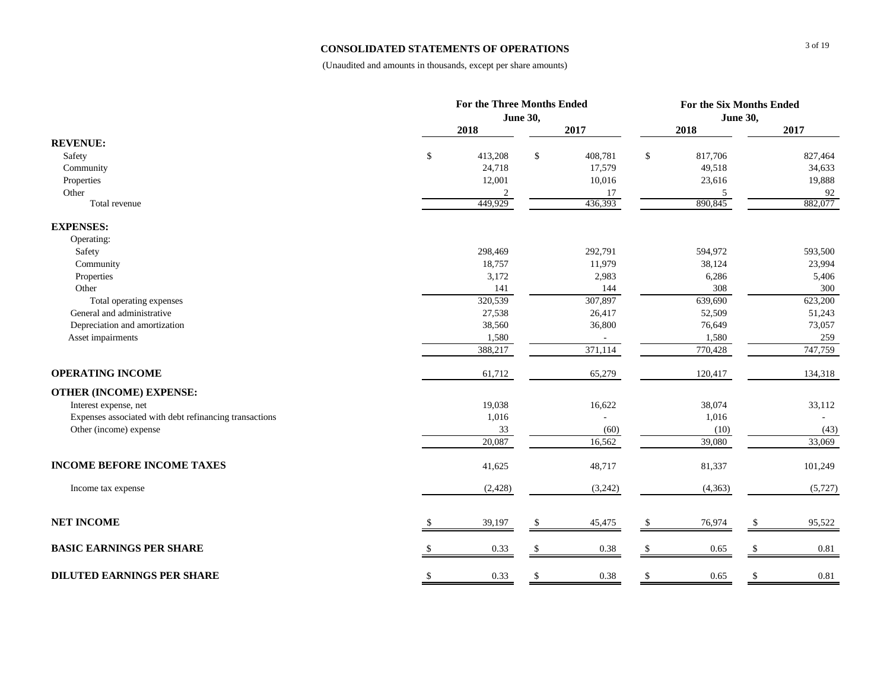# **CONSOLIDATED STATEMENTS OF OPERATIONS**

|                                                        |    |                 | For the Six Months Ended |          |    |         |                 |         |  |  |
|--------------------------------------------------------|----|-----------------|--------------------------|----------|----|---------|-----------------|---------|--|--|
|                                                        |    | <b>June 30,</b> |                          |          |    |         | <b>June 30,</b> |         |  |  |
|                                                        |    | 2018            |                          | 2017     |    | 2018    |                 | 2017    |  |  |
| <b>REVENUE:</b>                                        |    |                 |                          |          |    |         |                 |         |  |  |
| Safety                                                 | \$ | 413,208         | $\mathbb{S}$             | 408,781  | \$ | 817,706 |                 | 827,464 |  |  |
| Community                                              |    | 24,718          |                          | 17,579   |    | 49,518  |                 | 34,633  |  |  |
| Properties                                             |    | 12,001          |                          | 10,016   |    | 23,616  |                 | 19,888  |  |  |
| Other                                                  |    | 2               |                          | 17       |    | 5       |                 | 92      |  |  |
| Total revenue                                          |    | 449,929         |                          | 436,393  |    | 890,845 |                 | 882,077 |  |  |
| <b>EXPENSES:</b>                                       |    |                 |                          |          |    |         |                 |         |  |  |
| Operating:                                             |    |                 |                          |          |    |         |                 |         |  |  |
| Safety                                                 |    | 298,469         |                          | 292,791  |    | 594,972 |                 | 593,500 |  |  |
| Community                                              |    | 18,757          |                          | 11,979   |    | 38,124  |                 | 23,994  |  |  |
| Properties                                             |    | 3,172           |                          | 2,983    |    | 6,286   |                 | 5,406   |  |  |
| Other                                                  |    | 141             |                          | 144      |    | 308     |                 | 300     |  |  |
| Total operating expenses                               |    | 320,539         |                          | 307,897  |    | 639,690 |                 | 623,200 |  |  |
| General and administrative                             |    | 27,538          |                          | 26,417   |    | 52,509  |                 | 51,243  |  |  |
| Depreciation and amortization                          |    | 38,560          |                          | 36,800   |    | 76,649  |                 | 73,057  |  |  |
| Asset impairments                                      |    | 1,580           |                          |          |    | 1,580   |                 | 259     |  |  |
|                                                        |    | 388,217         |                          | 371,114  |    | 770,428 |                 | 747,759 |  |  |
| <b>OPERATING INCOME</b>                                |    | 61,712          |                          | 65,279   |    | 120,417 |                 | 134,318 |  |  |
| <b>OTHER (INCOME) EXPENSE:</b>                         |    |                 |                          |          |    |         |                 |         |  |  |
| Interest expense, net                                  |    | 19,038          |                          | 16,622   |    | 38,074  |                 | 33,112  |  |  |
| Expenses associated with debt refinancing transactions |    | 1,016           |                          |          |    | 1,016   |                 |         |  |  |
| Other (income) expense                                 |    | 33              |                          | (60)     |    | (10)    |                 | (43)    |  |  |
|                                                        |    | 20,087          |                          | 16,562   |    | 39,080  |                 | 33,069  |  |  |
| <b>INCOME BEFORE INCOME TAXES</b>                      |    | 41,625          |                          | 48,717   |    | 81,337  |                 | 101,249 |  |  |
| Income tax expense                                     |    | (2, 428)        |                          | (3,242)  |    | (4,363) |                 | (5,727) |  |  |
| <b>NET INCOME</b>                                      |    | 39,197          | S                        | 45,475   |    | 76,974  |                 | 95,522  |  |  |
| <b>BASIC EARNINGS PER SHARE</b>                        |    | 0.33            | \$.                      | $0.38\,$ |    | 0.65    |                 | 0.81    |  |  |
|                                                        |    |                 |                          |          |    |         |                 |         |  |  |
| <b>DILUTED EARNINGS PER SHARE</b>                      | S  | 0.33            | S                        | 0.38     |    | 0.65    |                 | 0.81    |  |  |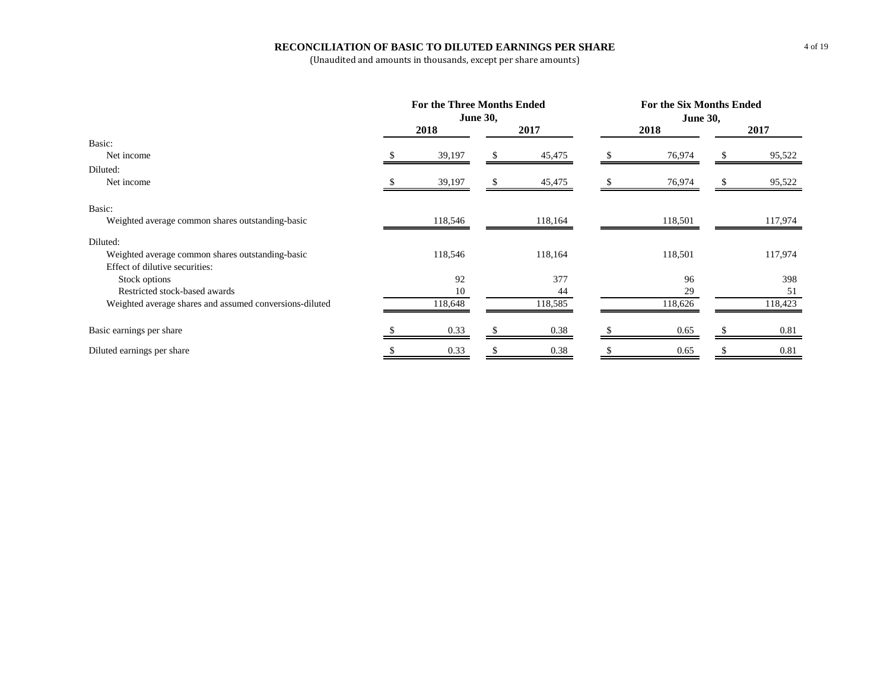# **RECONCILIATION OF BASIC TO DILUTED EARNINGS PER SHARE**

|                                                         | For the Three Months Ended<br><b>June 30,</b> |         |         | <b>For the Six Months Ended</b><br><b>June 30,</b> |         |         |         |  |  |
|---------------------------------------------------------|-----------------------------------------------|---------|---------|----------------------------------------------------|---------|---------|---------|--|--|
|                                                         | 2018                                          |         | 2017    |                                                    | 2018    |         | 2017    |  |  |
| Basic:                                                  |                                               |         |         |                                                    |         |         |         |  |  |
| Net income                                              | 39,197                                        |         | 45,475  |                                                    | 76,974  |         | 95,522  |  |  |
| Diluted:                                                |                                               |         |         |                                                    |         |         |         |  |  |
| Net income                                              | 39,197                                        | S.      | 45,475  |                                                    | 76,974  |         | 95,522  |  |  |
| Basic:                                                  |                                               |         |         |                                                    |         |         |         |  |  |
| Weighted average common shares outstanding-basic        | 118,546                                       | 118,164 |         |                                                    | 118,501 | 117,974 |         |  |  |
| Diluted:                                                |                                               |         |         |                                                    |         |         |         |  |  |
| Weighted average common shares outstanding-basic        | 118,546                                       |         | 118,164 |                                                    | 118,501 |         | 117,974 |  |  |
| Effect of dilutive securities:                          |                                               |         |         |                                                    |         |         |         |  |  |
| Stock options                                           | 92                                            |         | 377     |                                                    | 96      |         | 398     |  |  |
| Restricted stock-based awards                           | 10                                            |         | 44      |                                                    | 29      |         | 51      |  |  |
| Weighted average shares and assumed conversions-diluted | 118,648                                       |         | 118,585 |                                                    | 118,626 |         | 118,423 |  |  |
| Basic earnings per share                                | 0.33                                          |         | 0.38    |                                                    | 0.65    |         | 0.81    |  |  |
| Diluted earnings per share                              | 0.33                                          |         | 0.38    |                                                    | 0.65    |         | 0.81    |  |  |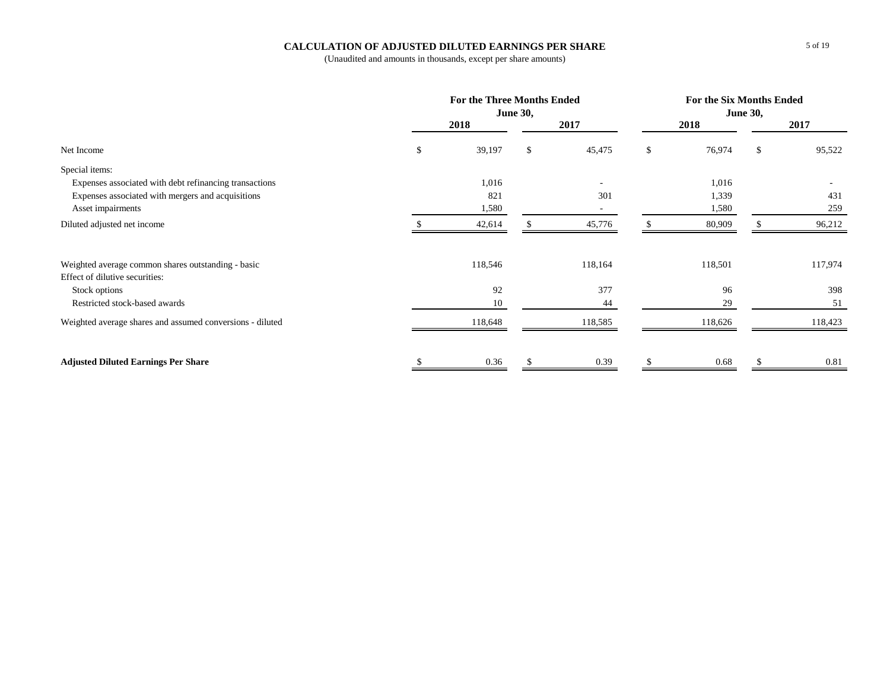# **CALCULATION OF ADJUSTED DILUTED EARNINGS PER SHARE**

|                                                           | For the Three Months Ended | <b>June 30,</b> |         | <b>For the Six Months Ended</b><br><b>June 30,</b> |         |    |         |  |  |
|-----------------------------------------------------------|----------------------------|-----------------|---------|----------------------------------------------------|---------|----|---------|--|--|
|                                                           | 2018                       |                 | 2017    |                                                    | 2018    |    | 2017    |  |  |
| Net Income                                                | \$<br>39,197               | \$              | 45,475  | \$                                                 | 76,974  | \$ | 95,522  |  |  |
| Special items:                                            |                            |                 |         |                                                    |         |    |         |  |  |
| Expenses associated with debt refinancing transactions    | 1,016                      |                 |         |                                                    | 1,016   |    |         |  |  |
| Expenses associated with mergers and acquisitions         | 821                        |                 | 301     |                                                    | 1,339   |    | 431     |  |  |
| Asset impairments                                         | 1,580                      |                 |         |                                                    | 1,580   |    | 259     |  |  |
| Diluted adjusted net income                               | 42,614                     |                 | 45,776  |                                                    | 80,909  | £. | 96,212  |  |  |
| Weighted average common shares outstanding - basic        | 118,546                    |                 | 118,164 |                                                    | 118,501 |    | 117,974 |  |  |
| Effect of dilutive securities:                            |                            |                 |         |                                                    |         |    |         |  |  |
| Stock options                                             | 92                         |                 | 377     |                                                    | 96      |    | 398     |  |  |
| Restricted stock-based awards                             | 10                         |                 | 44      |                                                    | 29      |    | 51      |  |  |
| Weighted average shares and assumed conversions - diluted | 118,648                    |                 | 118,585 |                                                    | 118,626 |    | 118,423 |  |  |
| <b>Adjusted Diluted Earnings Per Share</b>                | 0.36                       |                 | 0.39    |                                                    | 0.68    |    | 0.81    |  |  |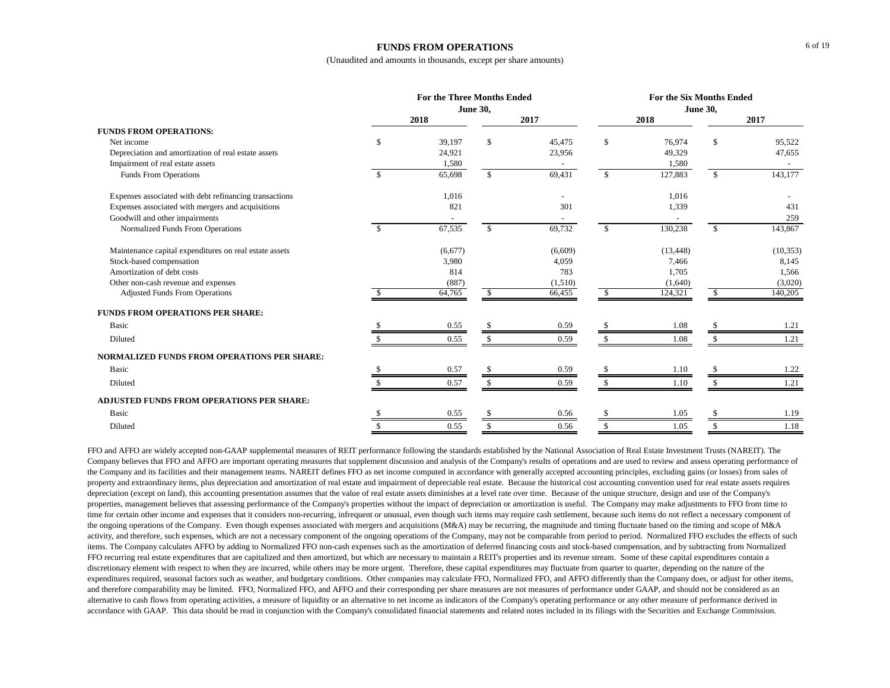### **FUNDS FROM OPERATIONS**

(Unaudited and amounts in thousands, except per share amounts)

|                                                        |     | <b>For the Three Months Ended</b> |                    | For the Six Months Ended |                 |           |              |           |  |  |
|--------------------------------------------------------|-----|-----------------------------------|--------------------|--------------------------|-----------------|-----------|--------------|-----------|--|--|
|                                                        |     |                                   | <b>June 30,</b>    |                          | <b>June 30,</b> |           |              |           |  |  |
|                                                        |     | 2018                              |                    | 2017                     |                 | 2018      |              | 2017      |  |  |
| <b>FUNDS FROM OPERATIONS:</b>                          |     |                                   |                    |                          |                 |           |              |           |  |  |
| Net income                                             | \$. | 39,197                            | \$                 | 45,475                   | \$              | 76,974    | \$           | 95,522    |  |  |
| Depreciation and amortization of real estate assets    |     | 24,921                            |                    | 23,956                   |                 | 49,329    |              | 47,655    |  |  |
| Impairment of real estate assets                       |     | 1,580                             |                    |                          |                 | 1,580     |              |           |  |  |
| Funds From Operations                                  | £.  | 65,698                            | $\mathbf{\hat{S}}$ | 69,431                   | $\mathbb{S}$    | 127,883   | $\mathbb{S}$ | 143,177   |  |  |
| Expenses associated with debt refinancing transactions |     | 1,016                             |                    |                          |                 | 1,016     |              |           |  |  |
| Expenses associated with mergers and acquisitions      |     | 821                               |                    | 301                      |                 | 1,339     |              | 431       |  |  |
| Goodwill and other impairments                         |     |                                   |                    |                          |                 |           |              | 259       |  |  |
| Normalized Funds From Operations                       | \$. | 67,535                            | $\mathbb{S}$       | 69,732                   | \$              | 130,238   | \$           | 143,867   |  |  |
| Maintenance capital expenditures on real estate assets |     | (6,677)                           |                    | (6,609)                  |                 | (13, 448) |              | (10, 353) |  |  |
| Stock-based compensation                               |     | 3,980                             |                    | 4,059                    |                 | 7,466     |              | 8,145     |  |  |
| Amortization of debt costs                             |     | 814                               |                    | 783                      |                 | 1,705     |              | 1,566     |  |  |
| Other non-cash revenue and expenses                    |     | (887)                             |                    | (1,510)                  |                 | (1,640)   |              | (3,020)   |  |  |
| <b>Adjusted Funds From Operations</b>                  |     | 64,765                            | -S                 | 66,455                   |                 | 124,321   | -S           | 140,205   |  |  |
| <b>FUNDS FROM OPERATIONS PER SHARE:</b>                |     |                                   |                    |                          |                 |           |              |           |  |  |
| <b>Basic</b>                                           |     | 0.55                              |                    | 0.59                     |                 | 1.08      |              | 1.21      |  |  |
| Diluted                                                |     | 0.55                              | -S                 | 0.59                     | \$              | 1.08      |              | 1.21      |  |  |
| <b>NORMALIZED FUNDS FROM OPERATIONS PER SHARE:</b>     |     |                                   |                    |                          |                 |           |              |           |  |  |
| <b>Basic</b>                                           |     | 0.57                              |                    | 0.59                     |                 | 1.10      |              | 1.22      |  |  |
| Diluted                                                |     | 0.57                              |                    | 0.59                     |                 | 1.10      |              | 1.21      |  |  |
| ADJUSTED FUNDS FROM OPERATIONS PER SHARE:              |     |                                   |                    |                          |                 |           |              |           |  |  |
| <b>Basic</b>                                           |     | 0.55                              | \$                 | 0.56                     |                 | 1.05      |              | 1.19      |  |  |
| Diluted                                                |     | 0.55                              | \$                 | 0.56                     |                 | 1.05      |              | 1.18      |  |  |

FFO and AFFO are widely accepted non-GAAP supplemental measures of REIT performance following the standards established by the National Association of Real Estate Investment Trusts (NAREIT). The Company believes that FFO and AFFO are important operating measures that supplement discussion and analysis of the Company's results of operations and are used to review and assess operating performance of the Company and its facilities and their management teams. NAREIT defines FFO as net income computed in accordance with generally accepted accounting principles, excluding gains (or losses) from sales of property and extraordinary items, plus depreciation and amortization of real estate and impairment of depreciable real estate. Because the historical cost accounting convention used for real estate assets requires depreciation (except on land), this accounting presentation assumes that the value of real estate assets diminishes at a level rate over time. Because of the unique structure, design and use of the Company's properties, management believes that assessing performance of the Company's properties without the impact of depreciation or amortization is useful. The Company may make adjustments to FFO from time to time for certain other income and expenses that it considers non-recurring, infrequent or unusual, even though such items may require cash settlement, because such items do not reflect a necessary component of the ongoing operations of the Company. Even though expenses associated with mergers and acquisitions (M&A) may be recurring, the magnitude and timing fluctuate based on the timing and scope of M&A activity, and therefore, such expenses, which are not a necessary component of the ongoing operations of the Company, may not be comparable from period to period. Normalized FFO excludes the effects of such items. The Company calculates AFFO by adding to Normalized FFO non-cash expenses such as the amortization of deferred financing costs and stock-based compensation, and by subtracting from Normalized FFO recurring real estate expenditures that are capitalized and then amortized, but which are necessary to maintain a REIT's properties and its revenue stream. Some of these capital expenditures contain a discretionary element with respect to when they are incurred, while others may be more urgent. Therefore, these capital expenditures may fluctuate from quarter to quarter, depending on the nature of the expenditures required, seasonal factors such as weather, and budgetary conditions. Other companies may calculate FFO, Normalized FFO, and AFFO differently than the Company does, or adjust for other items, and therefore comparability may be limited. FFO, Normalized FFO, and AFFO and their corresponding per share measures are not measures of performance under GAAP, and should not be considered as an alternative to cash flows from operating activities, a measure of liquidity or an alternative to net income as indicators of the Company's operating performance or any other measure of performance derived in accordance with GAAP. This data should be read in conjunction with the Company's consolidated financial statements and related notes included in its filings with the Securities and Exchange Commission.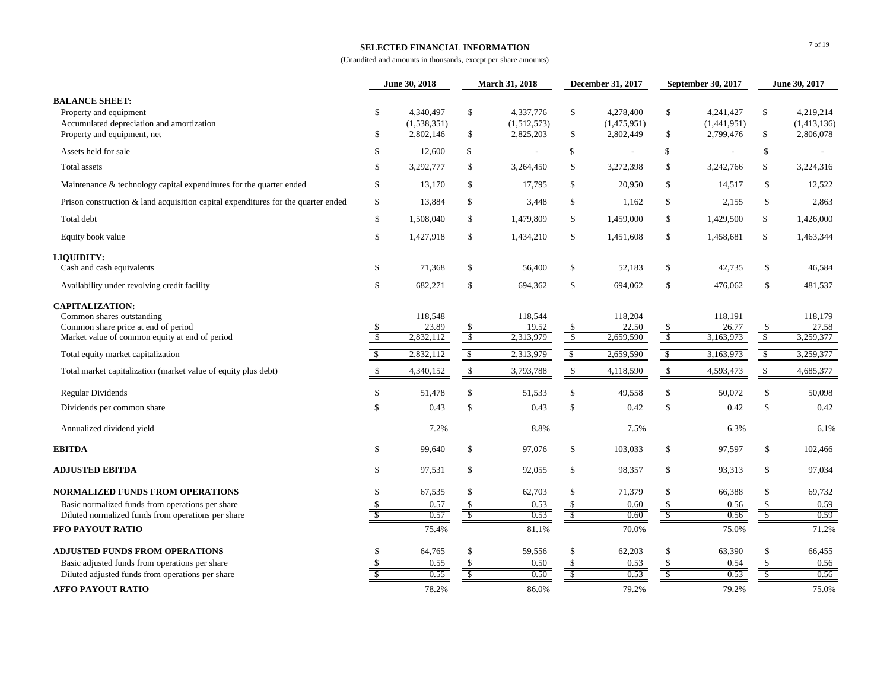## **SELECTED FINANCIAL INFORMATION**

|                                                                                                                                              |                          | June 30, 2018                         |                                     | March 31, 2018                        |                                | December 31, 2017                     |                          | September 30, 2017                    | June 30, 2017                 |                                       |
|----------------------------------------------------------------------------------------------------------------------------------------------|--------------------------|---------------------------------------|-------------------------------------|---------------------------------------|--------------------------------|---------------------------------------|--------------------------|---------------------------------------|-------------------------------|---------------------------------------|
| <b>BALANCE SHEET:</b><br>Property and equipment<br>Accumulated depreciation and amortization<br>Property and equipment, net                  | \$<br><sup>\$</sup>      | 4,340,497<br>(1,538,351)<br>2,802,146 | \$<br>$\mathbb{S}$                  | 4,337,776<br>(1,512,573)<br>2,825,203 | \$<br>$\mathbb{S}$             | 4,278,400<br>(1,475,951)<br>2,802,449 | \$<br>\$                 | 4,241,427<br>(1,441,951)<br>2,799,476 | \$<br>\$                      | 4,219,214<br>(1,413,136)<br>2,806,078 |
| Assets held for sale                                                                                                                         | \$                       | 12,600                                | \$                                  | $\sim$                                | \$                             | $\overline{\phantom{a}}$              | \$                       | $\overline{\phantom{a}}$              | \$                            |                                       |
| Total assets                                                                                                                                 | \$                       | 3,292,777                             | \$                                  | 3,264,450                             | \$                             | 3,272,398                             | \$                       | 3,242,766                             | \$                            | 3,224,316                             |
| Maintenance & technology capital expenditures for the quarter ended                                                                          | \$                       | 13,170                                | \$                                  | 17,795                                | \$                             | 20,950                                | \$                       | 14,517                                | \$                            | 12,522                                |
| Prison construction $\&$ land acquisition capital expenditures for the quarter ended                                                         | \$                       | 13,884                                | \$                                  | 3,448                                 | \$                             | 1,162                                 | \$                       | 2,155                                 | \$                            | 2,863                                 |
| Total debt                                                                                                                                   | \$                       | 1,508,040                             | \$                                  | 1,479,809                             | \$                             | 1,459,000                             | \$                       | 1,429,500                             | \$                            | 1,426,000                             |
| Equity book value                                                                                                                            | \$                       | 1,427,918                             | \$                                  | 1,434,210                             | \$                             | 1,451,608                             | \$                       | 1,458,681                             | \$                            | 1,463,344                             |
| LIQUIDITY:<br>Cash and cash equivalents                                                                                                      | \$                       | 71,368                                | \$                                  | 56,400                                | \$                             | 52,183                                | \$                       | 42,735                                | \$                            | 46,584                                |
| Availability under revolving credit facility                                                                                                 | \$                       | 682,271                               | \$                                  | 694,362                               | \$                             | 694,062                               | \$                       | 476,062                               | \$                            | 481,537                               |
| <b>CAPITALIZATION:</b><br>Common shares outstanding<br>Common share price at end of period<br>Market value of common equity at end of period | \$<br>$\sqrt{3}$         | 118,548<br>23.89<br>2,832,112         | \$<br>$\sqrt[6]{3}$                 | 118,544<br>19.52<br>2,313,979         | \$<br>$\overline{\mathcal{S}}$ | 118,204<br>22.50<br>2,659,590         | \$<br>$\sqrt[6]{3}$      | 118,191<br>26.77<br>3,163,973         | \$<br>$\sqrt[6]{\frac{1}{2}}$ | 118,179<br>27.58<br>3,259,377         |
| Total equity market capitalization                                                                                                           | \$                       | 2,832,112                             | $\overline{\mathcal{S}}$            | 2,313,979                             | $\overline{\mathcal{S}}$       | 2,659,590                             | $\overline{\mathcal{S}}$ | 3,163,973                             | $\sqrt{2}$                    | 3,259,377                             |
| Total market capitalization (market value of equity plus debt)                                                                               | $\mathbb{S}$             | 4,340,152                             | \$                                  | 3,793,788                             | \$                             | 4,118,590                             | $\mathcal{S}$            | 4,593,473                             | \$                            | 4,685,377                             |
| <b>Regular Dividends</b>                                                                                                                     | \$                       | 51,478                                | $\mathbb{S}$                        | 51,533                                | \$                             | 49,558                                | $\mathsf{\$}$            | 50,072                                | \$                            | 50,098                                |
| Dividends per common share                                                                                                                   | \$                       | 0.43                                  | \$                                  | 0.43                                  | \$                             | 0.42                                  | \$                       | 0.42                                  | \$                            | 0.42                                  |
| Annualized dividend yield                                                                                                                    |                          | 7.2%                                  |                                     | 8.8%                                  |                                | 7.5%                                  |                          | 6.3%                                  |                               | 6.1%                                  |
| <b>EBITDA</b>                                                                                                                                | \$                       | 99,640                                | \$                                  | 97,076                                | \$                             | 103,033                               | \$                       | 97,597                                | \$                            | 102,466                               |
| <b>ADJUSTED EBITDA</b>                                                                                                                       | \$                       | 97,531                                | \$                                  | 92,055                                | \$                             | 98,357                                | \$                       | 93,313                                | \$                            | 97,034                                |
| <b>NORMALIZED FUNDS FROM OPERATIONS</b>                                                                                                      | \$                       | 67,535                                | \$                                  | 62,703                                | \$                             | 71,379                                | \$                       | 66,388                                | \$                            | 69,732                                |
| Basic normalized funds from operations per share                                                                                             | <sup>\$</sup>            | 0.57                                  | \$                                  | 0.53                                  | \$                             | 0.60                                  |                          | 0.56                                  | \$                            | 0.59                                  |
| Diluted normalized funds from operations per share                                                                                           | $\overline{\mathcal{S}}$ | 0.57                                  | $\overline{\overline{\mathcal{S}}}$ | 0.53                                  | $\overline{\mathcal{S}}$       | 0.60                                  | $\overline{\mathcal{S}}$ | 0.56                                  | $\overline{\mathcal{S}}$      | 0.59                                  |
| FFO PAYOUT RATIO                                                                                                                             |                          | 75.4%                                 |                                     | 81.1%                                 |                                | 70.0%                                 |                          | 75.0%                                 |                               | 71.2%                                 |
| <b>ADJUSTED FUNDS FROM OPERATIONS</b>                                                                                                        |                          | 64,765                                | $\mathbb{S}$                        | 59,556                                | \$                             | 62,203                                | $\mathsf{\$}$            | 63,390                                | \$                            | 66,455                                |
| Basic adjusted funds from operations per share<br>Diluted adjusted funds from operations per share                                           |                          | 0.55<br>0.55                          | \$.                                 | 0.50<br>0.50                          | \$.<br>S                       | 0.53<br>0.53                          | S                        | 0.54<br>0.53                          | \$<br>\$                      | 0.56<br>0.56                          |
|                                                                                                                                              |                          |                                       |                                     |                                       |                                |                                       |                          |                                       |                               |                                       |
| <b>AFFO PAYOUT RATIO</b>                                                                                                                     |                          | 78.2%                                 |                                     | 86.0%                                 |                                | 79.2%                                 |                          | 79.2%                                 |                               | 75.0%                                 |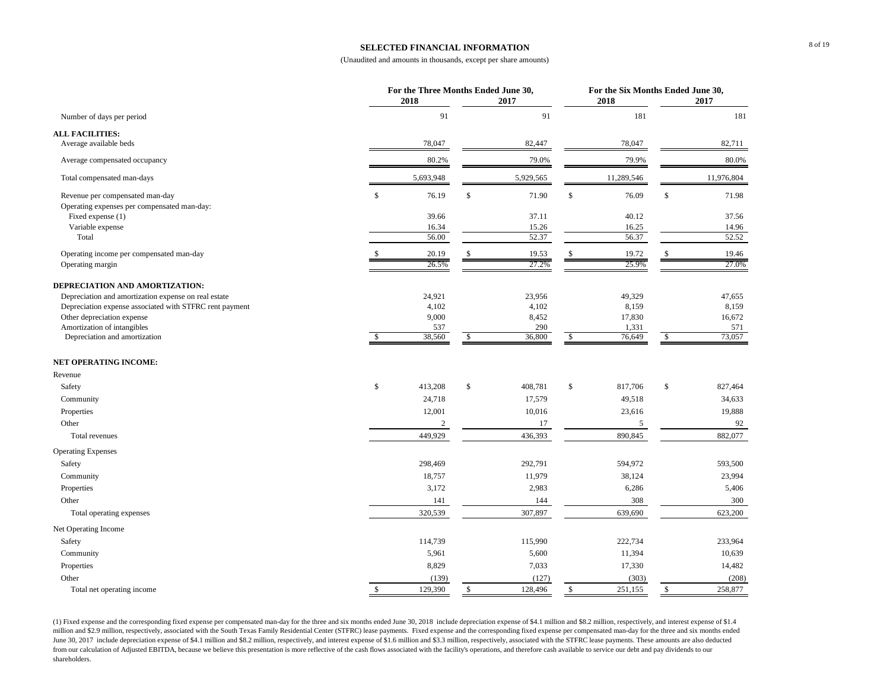## **SELECTED FINANCIAL INFORMATION**

#### (Unaudited and amounts in thousands, except per share amounts)

|                                                                                       |    | For the Three Months Ended June 30,<br>2018 |               | 2017           |              | For the Six Months Ended June 30,<br>2018 | 2017            |
|---------------------------------------------------------------------------------------|----|---------------------------------------------|---------------|----------------|--------------|-------------------------------------------|-----------------|
| Number of days per period                                                             |    | 91                                          |               | 91             |              | 181                                       | 181             |
| <b>ALL FACILITIES:</b><br>Average available beds                                      |    | 78,047                                      |               | 82,447         |              | 78,047                                    | 82,711          |
|                                                                                       |    |                                             |               |                |              |                                           |                 |
| Average compensated occupancy                                                         |    | 80.2%                                       |               | 79.0%          |              | 79.9%                                     | 80.0%           |
| Total compensated man-days                                                            |    | 5,693,948                                   |               | 5,929,565      |              | 11,289,546                                | 11,976,804      |
| Revenue per compensated man-day<br>Operating expenses per compensated man-day:        | \$ | 76.19                                       | $\mathbb S$   | 71.90          | \$           | 76.09                                     | \$<br>71.98     |
| Fixed expense (1)<br>Variable expense                                                 |    | 39.66<br>16.34                              |               | 37.11          |              | 40.12                                     | 37.56           |
| Total                                                                                 |    | 56.00                                       |               | 15.26<br>52.37 |              | 16.25<br>56.37                            | 14.96<br>52.52  |
| Operating income per compensated man-day                                              |    | 20.19                                       | <sup>\$</sup> | 19.53          | \$           | 19.72                                     | \$<br>19.46     |
| Operating margin                                                                      |    | 26.5%                                       |               | 27.2%          |              | 25.9%                                     | 27.0%           |
|                                                                                       |    |                                             |               |                |              |                                           |                 |
| DEPRECIATION AND AMORTIZATION:                                                        |    |                                             |               |                |              |                                           |                 |
| Depreciation and amortization expense on real estate                                  |    | 24,921                                      |               | 23,956         |              | 49,329                                    | 47,655          |
| Depreciation expense associated with STFRC rent payment<br>Other depreciation expense |    | 4,102<br>9,000                              |               | 4,102<br>8,452 |              | 8,159<br>17,830                           | 8,159<br>16,672 |
| Amortization of intangibles                                                           |    | 537                                         |               | 290            |              | 1,331                                     | 571             |
| Depreciation and amortization                                                         | £. | 38,560                                      | \$            | 36,800         | \$           | 76,649                                    | \$<br>73,057    |
| <b>NET OPERATING INCOME:</b>                                                          |    |                                             |               |                |              |                                           |                 |
| Revenue                                                                               |    |                                             |               |                |              |                                           |                 |
| Safety                                                                                | \$ | 413,208                                     | \$            | 408,781        | \$           | 817,706                                   | \$<br>827,464   |
| Community                                                                             |    | 24,718                                      |               | 17,579         |              | 49,518                                    | 34,633          |
| Properties                                                                            |    | 12,001                                      |               | 10,016         |              | 23,616                                    | 19,888          |
| Other                                                                                 |    | 2                                           |               | 17             |              | 5                                         | 92              |
| Total revenues                                                                        |    | 449,929                                     |               | 436,393        |              | 890,845                                   | 882,077         |
| <b>Operating Expenses</b>                                                             |    |                                             |               |                |              |                                           |                 |
| Safety                                                                                |    | 298,469                                     |               | 292,791        |              | 594,972                                   | 593,500         |
| Community                                                                             |    | 18,757                                      |               | 11,979         |              | 38,124                                    | 23,994          |
| Properties                                                                            |    | 3,172                                       |               | 2,983          |              | 6,286                                     | 5,406           |
| Other                                                                                 |    | 141                                         |               | 144            |              | 308                                       | 300             |
| Total operating expenses                                                              |    | 320,539                                     |               | 307,897        |              | 639,690                                   | 623,200         |
| Net Operating Income                                                                  |    |                                             |               |                |              |                                           |                 |
| Safety                                                                                |    | 114,739                                     |               | 115,990        |              | 222,734                                   | 233,964         |
| Community                                                                             |    | 5,961                                       |               | 5,600          |              | 11,394                                    | 10,639          |
| Properties                                                                            |    | 8,829                                       |               | 7,033          |              | 17,330                                    | 14,482          |
| Other                                                                                 |    | (139)                                       |               | (127)          |              | (303)                                     | (208)           |
| Total net operating income                                                            | \$ | 129,390                                     | \$            | 128,496        | $\mathbb{S}$ | 251,155                                   | \$<br>258,877   |

(1) Fixed expense and the corresponding fixed expense per compensated man-day for the three and six months ended June 30, 2018 include depreciation expense of \$4.1 million and \$8.2 million, respectively, and interest expen million and \$2.9 million, respectively, associated with the South Texas Family Residential Center (STFRC) lease payments. Fixed expense and the corresponding fixed expense per compensated man-day for the three and six mont June 30, 2017 include depreciation expense of \$4.1 million and \$8.2 million, respectively, and interest expense of \$1.6 million and \$3.3 million, respectively, associated with the STFRC lease payments. These amounts are al from our calculation of Adjusted EBITDA, because we believe this presentation is more reflective of the cash flows associated with the facility's operations, and therefore cash available to service our debt and pay dividen shareholders.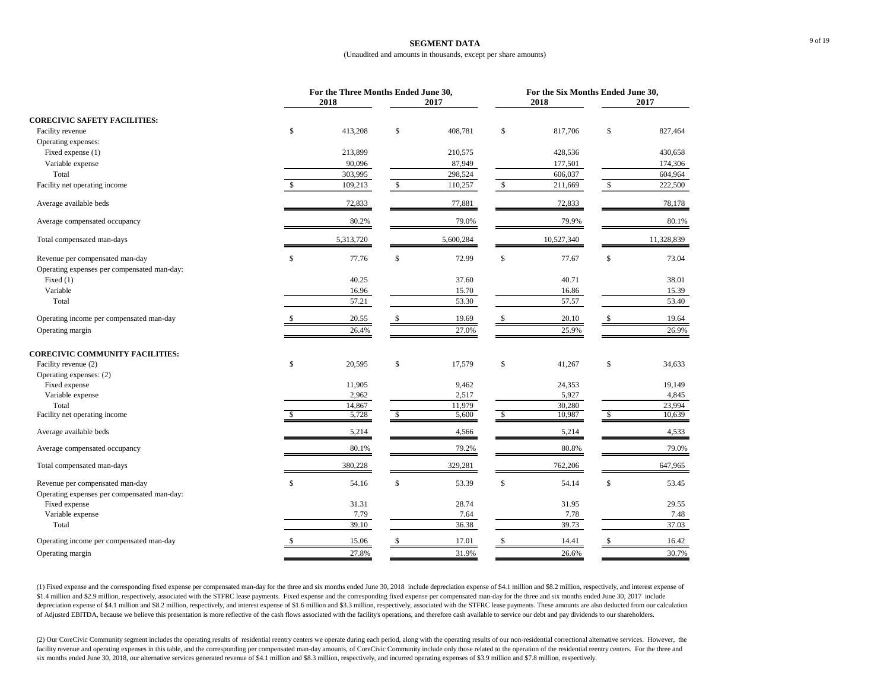#### **SEGMENT DATA**

#### (Unaudited and amounts in thousands, except per share amounts)

|                                                                                | For the Three Months Ended June 30,<br>2018 |               | 2017      |               | For the Six Months Ended June 30,<br>2018 |              | 2017       |
|--------------------------------------------------------------------------------|---------------------------------------------|---------------|-----------|---------------|-------------------------------------------|--------------|------------|
| <b>CORECIVIC SAFETY FACILITIES:</b>                                            |                                             |               |           |               |                                           |              |            |
| Facility revenue                                                               | \$<br>413,208                               | \$            | 408,781   | \$            | 817,706                                   | \$           | 827,464    |
| Operating expenses:                                                            |                                             |               |           |               |                                           |              |            |
| Fixed expense (1)                                                              | 213,899                                     |               | 210,575   |               | 428,536                                   |              | 430,658    |
| Variable expense                                                               | 90,096                                      |               | 87,949    |               | 177,501                                   |              | 174,306    |
| Total                                                                          | 303,995                                     |               | 298,524   |               | 606,037                                   |              | 604,964    |
| Facility net operating income                                                  | \$<br>109,213                               | $\frac{1}{2}$ | 110,257   | $\mathcal{S}$ | 211,669                                   | $\mathbb{S}$ | 222,500    |
| Average available beds                                                         | 72,833                                      |               | 77,881    |               | 72,833                                    |              | 78,178     |
| Average compensated occupancy                                                  | 80.2%                                       |               | 79.0%     |               | 79.9%                                     |              | 80.1%      |
| Total compensated man-days                                                     | 5,313,720                                   |               | 5,600,284 |               | 10,527,340                                |              | 11,328,839 |
| Revenue per compensated man-day<br>Operating expenses per compensated man-day: | \$<br>77.76                                 | \$            | 72.99     | \$            | 77.67                                     | \$           | 73.04      |
| Fixed $(1)$                                                                    | 40.25                                       |               | 37.60     |               | 40.71                                     |              | 38.01      |
| Variable                                                                       | 16.96                                       |               | 15.70     |               | 16.86                                     |              | 15.39      |
| Total                                                                          | 57.21                                       |               | 53.30     |               | 57.57                                     |              | 53.40      |
| Operating income per compensated man-day                                       | 20.55                                       | S.            | 19.69     | S             | 20.10                                     | S            | 19.64      |
| Operating margin                                                               | 26.4%                                       |               | 27.0%     |               | 25.9%                                     |              | 26.9%      |
| <b>CORECIVIC COMMUNITY FACILITIES:</b>                                         |                                             |               |           |               |                                           |              |            |
| Facility revenue (2)                                                           | \$<br>20,595                                | \$            | 17,579    | \$            | 41,267                                    | \$           | 34,633     |
| Operating expenses: (2)<br>Fixed expense                                       | 11,905                                      |               | 9,462     |               | 24,353                                    |              | 19,149     |
| Variable expense                                                               | 2,962                                       |               | 2,517     |               | 5,927                                     |              | 4,845      |
| Total                                                                          | 14,867                                      |               | 11,979    |               | 30,280                                    |              | 23,994     |
| Facility net operating income                                                  | \$<br>5,728                                 | \$            | 5,600     | \$            | 10,987                                    | \$           | 10,639     |
| Average available beds                                                         | 5,214                                       |               | 4,566     |               | 5,214                                     |              | 4,533      |
| Average compensated occupancy                                                  | 80.1%                                       |               | 79.2%     |               | 80.8%                                     |              | 79.0%      |
| Total compensated man-days                                                     | 380,228                                     |               | 329,281   |               | 762,206                                   |              | 647,965    |
| Revenue per compensated man-day<br>Operating expenses per compensated man-day: | \$<br>54.16                                 | \$            | 53.39     | \$            | 54.14                                     | \$           | 53.45      |
| Fixed expense                                                                  | 31.31                                       |               | 28.74     |               | 31.95                                     |              | 29.55      |
| Variable expense                                                               | 7.79                                        |               | 7.64      |               | 7.78                                      |              | 7.48       |
| Total                                                                          | 39.10                                       |               | 36.38     |               | 39.73                                     |              | 37.03      |
| Operating income per compensated man-day                                       | 15.06                                       |               | 17.01     |               | 14.41                                     |              | 16.42      |
| Operating margin                                                               | 27.8%                                       |               | 31.9%     |               | 26.6%                                     |              | 30.7%      |
|                                                                                |                                             |               |           |               |                                           |              |            |

(1) Fixed expense and the corresponding fixed expense per compensated man-day for the three and six months ended June 30, 2018 include depreciation expense of \$4.1 million and \$8.2 million, respectively, and interest expen \$1.4 million and \$2.9 million, respectively, associated with the STFRC lease payments. Fixed expense and the corresponding fixed expense per compensated man-day for the three and six months ended June 30, 2017 include depreciation expense of \$4.1 million and \$8.2 million, respectively, and interest expense of \$1.6 million and \$3.3 million, respectively, associated with the STFRC lease payments. These amounts are also deducted from our c of Adjusted EBITDA, because we believe this presentation is more reflective of the cash flows associated with the facility's operations, and therefore cash available to service our debt and pay dividends to our shareholders.

(2) Our CoreCivic Community segment includes the operating results of residential reentry centers we operate during each period, along with the operating results of our non-residential correctional alternative services. Ho facility revenue and operating expenses in this table, and the corresponding per compensated man-day amounts, of CoreCivic Community include only those related to the operation of the residential reentry centers. For the t six months ended June 30, 2018, our alternative services generated revenue of \$4.1 million and \$8.3 million, respectively, and incurred operating expenses of \$3.9 million and \$7.8 million, respectively.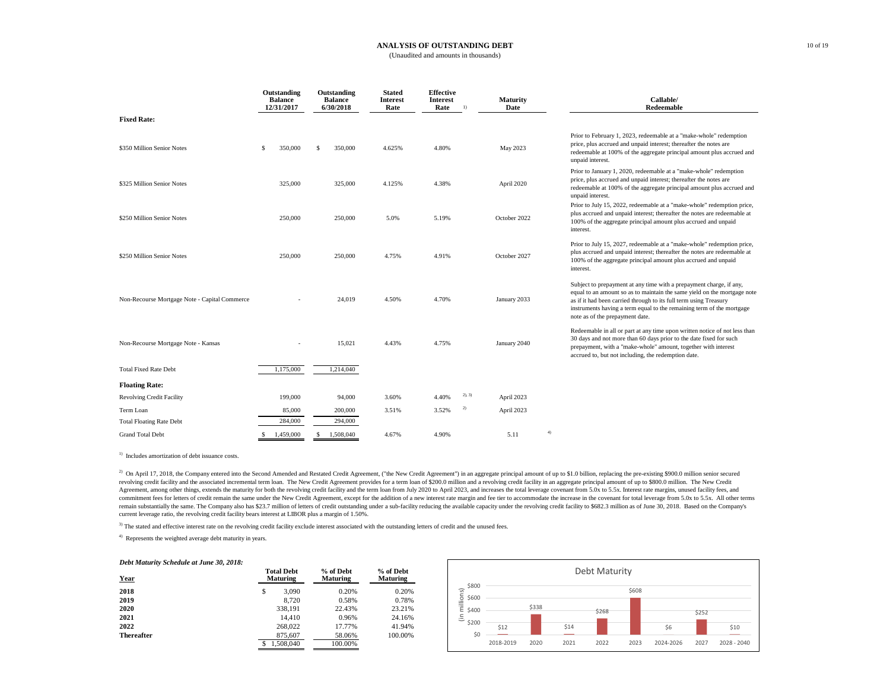#### **ANALYSIS OF OUTSTANDING DEBT** (Unaudited and amounts in thousands)

|                                               |    | Outstanding<br><b>Balance</b><br>12/31/2017 |     | Outstanding<br><b>Balance</b><br>6/30/2018 | <b>Stated</b><br><b>Interest</b><br>Rate | <b>Effective</b><br>Interest<br>Rate | 1)     | <b>Maturity</b><br>Date |    | Callable/<br>Redeemable                                                                                                                                                                                                                                                                                                          |
|-----------------------------------------------|----|---------------------------------------------|-----|--------------------------------------------|------------------------------------------|--------------------------------------|--------|-------------------------|----|----------------------------------------------------------------------------------------------------------------------------------------------------------------------------------------------------------------------------------------------------------------------------------------------------------------------------------|
| <b>Fixed Rate:</b>                            |    |                                             |     |                                            |                                          |                                      |        |                         |    |                                                                                                                                                                                                                                                                                                                                  |
| \$350 Million Senior Notes                    | s  | 350,000                                     | S   | 350,000                                    | 4.625%                                   | 4.80%                                |        | May 2023                |    | Prior to February 1, 2023, redeemable at a "make-whole" redemption<br>price, plus accrued and unpaid interest; thereafter the notes are<br>redeemable at 100% of the aggregate principal amount plus accrued and<br>unpaid interest.                                                                                             |
| \$325 Million Senior Notes                    |    | 325,000                                     |     | 325,000                                    | 4.125%                                   | 4.38%                                |        | April 2020              |    | Prior to January 1, 2020, redeemable at a "make-whole" redemption<br>price, plus accrued and unpaid interest; thereafter the notes are<br>redeemable at 100% of the aggregate principal amount plus accrued and<br>unpaid interest.                                                                                              |
| \$250 Million Senior Notes                    |    | 250,000                                     |     | 250,000                                    | 5.0%                                     | 5.19%                                |        | October 2022            |    | Prior to July 15, 2022, redeemable at a "make-whole" redemption price,<br>plus accrued and unpaid interest; thereafter the notes are redeemable at<br>100% of the aggregate principal amount plus accrued and unpaid<br>interest.                                                                                                |
| \$250 Million Senior Notes                    |    | 250,000                                     |     | 250,000                                    | 4.75%                                    | 4.91%                                |        | October 2027            |    | Prior to July 15, 2027, redeemable at a "make-whole" redemption price,<br>plus accrued and unpaid interest; thereafter the notes are redeemable at<br>100% of the aggregate principal amount plus accrued and unpaid<br>interest.                                                                                                |
| Non-Recourse Mortgage Note - Capital Commerce |    |                                             |     | 24,019                                     | 4.50%                                    | 4.70%                                |        | January 2033            |    | Subject to prepayment at any time with a prepayment charge, if any,<br>equal to an amount so as to maintain the same yield on the mortgage note<br>as if it had been carried through to its full term using Treasury<br>instruments having a term equal to the remaining term of the mortgage<br>note as of the prepayment date. |
| Non-Recourse Mortgage Note - Kansas           |    |                                             |     | 15,021                                     | 4.43%                                    | 4.75%                                |        | January 2040            |    | Redeemable in all or part at any time upon written notice of not less than<br>30 days and not more than 60 days prior to the date fixed for such<br>prepayment, with a "make-whole" amount, together with interest<br>accrued to, but not including, the redemption date.                                                        |
| <b>Total Fixed Rate Debt</b>                  |    | 1,175,000                                   |     | 1,214,040                                  |                                          |                                      |        |                         |    |                                                                                                                                                                                                                                                                                                                                  |
| <b>Floating Rate:</b>                         |    |                                             |     |                                            |                                          |                                      |        |                         |    |                                                                                                                                                                                                                                                                                                                                  |
| <b>Revolving Credit Facility</b>              |    | 199,000                                     |     | 94,000                                     | 3.60%                                    | 4.40%                                | 2), 3) | April 2023              |    |                                                                                                                                                                                                                                                                                                                                  |
| Term Loan                                     |    | 85,000                                      |     | 200,000                                    | 3.51%                                    | 3.52%                                | 2)     | April 2023              |    |                                                                                                                                                                                                                                                                                                                                  |
| <b>Total Floating Rate Debt</b>               |    | 284,000                                     |     | 294,000                                    |                                          |                                      |        |                         |    |                                                                                                                                                                                                                                                                                                                                  |
| <b>Grand Total Debt</b>                       | s. | 1.459,000                                   | \$. | 1.508.040                                  | 4.67%                                    | 4.90%                                |        | 5.11                    | 4) |                                                                                                                                                                                                                                                                                                                                  |

<sup>1)</sup> Includes amortization of debt issuance costs.

<sup>2)</sup> On April 17, 2018, the Company entered into the Second Amended and Restated Credit Agreement, ("the New Credit Agreement") in an aggregate principal amount of up to \$1.0 billion, replacing the pre-existing \$900.0 mill revolving credit facility and the associated incremental term loan. The New Credit Agreement provides for a term loan of \$200.0 million and a revolving credit facility in an aggregate principal amount of up to \$800.0 milli Agreement, among other things, extends the maturity for both the revolving credit facility and the term loan from July 2020 to April 2023, and increases the total leverage covenant from 5.0x to 5.5x. Interest rate margins, commitment fees for letters of credit remain the same under the New Credit Agreement, except for the addition of a new interest rate margin and fee tier to accommodate the increase in the covenant for total leverage from 5 remain substantially the same. The Company also has \$23.7 million of letters of credit outstanding under a sub-facility reducing the available capacity under the revolving credit facility to \$682.3 million as of June 30, 2 current leverage ratio, the revolving credit facility bears interest at LIBOR plus a margin of 1.50%.

<sup>3)</sup> The stated and effective interest rate on the revolving credit facility exclude interest associated with the outstanding letters of credit and the unused fees.

4) Represents the weighted average debt maturity in years.

#### *Debt Maturity Schedule at June 30, 2018:*

| Year              | <b>Total Debt</b><br><b>Maturing</b> | % of Debt<br><b>Maturing</b> | % of Debt<br><b>Maturing</b> |  |
|-------------------|--------------------------------------|------------------------------|------------------------------|--|
| 2018              | \$<br>3.090                          | 0.20%                        | 0.20%                        |  |
| 2019              | 8.720                                | 0.58%                        | 0.78%                        |  |
| 2020              | 338.191                              | 22.43%                       | 23.21%                       |  |
| 2021              | 14.410                               | 0.96%                        | 24.16%                       |  |
| 2022              | 268,022                              | 17.77%                       | 41.94%                       |  |
| <b>Thereafter</b> | 875.607                              | 58.06%                       | 100.00%                      |  |
|                   | 1.508.040                            | 100.00%                      |                              |  |

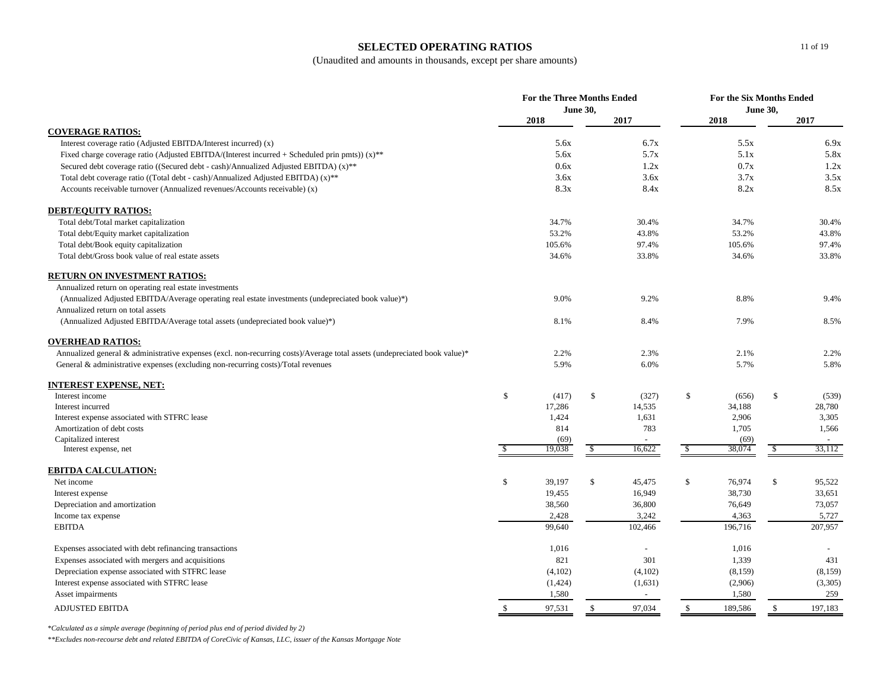# **SELECTED OPERATING RATIOS**

(Unaudited and amounts in thousands, except per share amounts)

|                                                                                                                           | <b>For the Three Months Ended</b><br><b>June 30,</b> |         |               | For the Six Months Ended<br><b>June 30,</b> |            |         |              |          |
|---------------------------------------------------------------------------------------------------------------------------|------------------------------------------------------|---------|---------------|---------------------------------------------|------------|---------|--------------|----------|
|                                                                                                                           |                                                      | 2018    |               | 2017                                        |            | 2018    |              | 2017     |
| <b>COVERAGE RATIOS:</b>                                                                                                   |                                                      |         |               |                                             |            |         |              |          |
| Interest coverage ratio (Adjusted EBITDA/Interest incurred) (x)                                                           |                                                      | 5.6x    |               | 6.7x                                        |            | 5.5x    |              | 6.9x     |
| Fixed charge coverage ratio (Adjusted EBITDA/(Interest incurred + Scheduled prin pmts)) $(x)$ <sup>**</sup>               |                                                      | 5.6x    |               | 5.7x                                        |            | 5.1x    |              | 5.8x     |
| Secured debt coverage ratio ((Secured debt - cash)/Annualized Adjusted EBITDA) $(x)$ <sup>**</sup>                        |                                                      | 0.6x    |               | 1.2x                                        |            | 0.7x    |              | 1.2x     |
| Total debt coverage ratio ((Total debt - cash)/Annualized Adjusted EBITDA) $(x)$ <sup>**</sup>                            |                                                      | 3.6x    |               | 3.6x                                        |            | 3.7x    |              | 3.5x     |
| Accounts receivable turnover (Annualized revenues/Accounts receivable) (x)                                                |                                                      | 8.3x    |               | 8.4x                                        |            | 8.2x    |              | 8.5x     |
| <b>DEBT/EQUITY RATIOS:</b>                                                                                                |                                                      |         |               |                                             |            |         |              |          |
| Total debt/Total market capitalization                                                                                    |                                                      | 34.7%   |               | 30.4%                                       |            | 34.7%   |              | 30.4%    |
| Total debt/Equity market capitalization                                                                                   |                                                      | 53.2%   |               | 43.8%                                       |            | 53.2%   |              | 43.8%    |
| Total debt/Book equity capitalization                                                                                     |                                                      | 105.6%  |               | 97.4%                                       |            | 105.6%  |              | 97.4%    |
| Total debt/Gross book value of real estate assets                                                                         |                                                      | 34.6%   |               | 33.8%                                       |            | 34.6%   |              | 33.8%    |
| <b>RETURN ON INVESTMENT RATIOS:</b>                                                                                       |                                                      |         |               |                                             |            |         |              |          |
| Annualized return on operating real estate investments                                                                    |                                                      |         |               |                                             |            |         |              |          |
| (Annualized Adjusted EBITDA/Average operating real estate investments (undepreciated book value)*)                        |                                                      | 9.0%    |               | 9.2%                                        |            | 8.8%    |              | 9.4%     |
| Annualized return on total assets                                                                                         |                                                      |         |               |                                             |            |         |              |          |
| (Annualized Adjusted EBITDA/Average total assets (undepreciated book value)*)                                             |                                                      | 8.1%    |               | 8.4%                                        |            | 7.9%    |              | 8.5%     |
| <b>OVERHEAD RATIOS:</b>                                                                                                   |                                                      |         |               |                                             |            |         |              |          |
| Annualized general & administrative expenses (excl. non-recurring costs)/Average total assets (undepreciated book value)* |                                                      | 2.2%    |               | 2.3%                                        |            | 2.1%    |              | 2.2%     |
| General & administrative expenses (excluding non-recurring costs)/Total revenues                                          |                                                      | 5.9%    |               | 6.0%                                        |            | 5.7%    |              | 5.8%     |
| <b>INTEREST EXPENSE, NET:</b>                                                                                             |                                                      |         |               |                                             |            |         |              |          |
| Interest income                                                                                                           | \$                                                   | (417)   | $\mathcal{S}$ | (327)                                       | \$         | (656)   | \$           | (539)    |
| Interest incurred                                                                                                         |                                                      | 17,286  |               | 14,535                                      |            | 34,188  |              | 28,780   |
| Interest expense associated with STFRC lease                                                                              |                                                      | 1,424   |               | 1,631                                       |            | 2,906   |              | 3,305    |
| Amortization of debt costs                                                                                                |                                                      | 814     |               | 783                                         |            | 1,705   |              | 1,566    |
| Capitalized interest                                                                                                      |                                                      | (69)    |               |                                             |            | (69)    |              |          |
| Interest expense, net                                                                                                     |                                                      | 19,038  | \$            | 16,622                                      | $\sqrt{2}$ | 38,074  | \$           | 33,112   |
| <b>EBITDA CALCULATION:</b>                                                                                                |                                                      |         |               |                                             |            |         |              |          |
| Net income                                                                                                                | \$                                                   | 39,197  | \$            | 45,475                                      | \$         | 76,974  | \$           | 95,522   |
| Interest expense                                                                                                          |                                                      | 19,455  |               | 16,949                                      |            | 38,730  |              | 33,651   |
| Depreciation and amortization                                                                                             |                                                      | 38,560  |               | 36,800                                      |            | 76,649  |              | 73,057   |
| Income tax expense                                                                                                        |                                                      | 2,428   |               | 3,242                                       |            | 4,363   |              | 5,727    |
| <b>EBITDA</b>                                                                                                             |                                                      | 99,640  |               | 102,466                                     |            | 196,716 |              | 207,957  |
| Expenses associated with debt refinancing transactions                                                                    |                                                      | 1,016   |               |                                             |            | 1,016   |              |          |
| Expenses associated with mergers and acquisitions                                                                         |                                                      | 821     |               | 301                                         |            | 1,339   |              | 431      |
| Depreciation expense associated with STFRC lease                                                                          |                                                      | (4,102) |               | (4,102)                                     |            | (8,159) |              | (8, 159) |
| Interest expense associated with STFRC lease                                                                              |                                                      | (1,424) |               | (1,631)                                     |            | (2,906) |              | (3,305)  |
| Asset impairments                                                                                                         |                                                      | 1,580   |               | $\sim$                                      |            | 1,580   |              | 259      |
| <b>ADJUSTED EBITDA</b>                                                                                                    | \$                                                   | 97,531  | $\mathbb{S}$  | 97,034                                      | \$         | 189,586 | $\mathbb{S}$ | 197,183  |

*\*Calculated as a simple average (beginning of period plus end of period divided by 2)*

*\*\*Excludes non-recourse debt and related EBITDA of CoreCivic of Kansas, LLC, issuer of the Kansas Mortgage Note*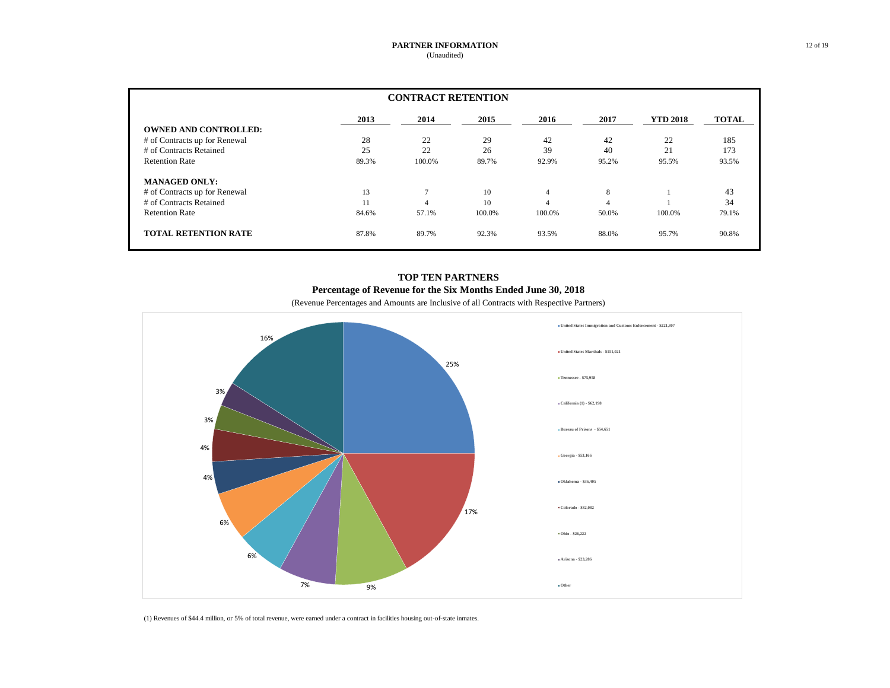| <b>CONTRACT RETENTION</b>     |       |        |        |                |       |                 |              |  |  |
|-------------------------------|-------|--------|--------|----------------|-------|-----------------|--------------|--|--|
|                               | 2013  | 2014   | 2015   | 2016           | 2017  | <b>YTD 2018</b> | <b>TOTAL</b> |  |  |
| <b>OWNED AND CONTROLLED:</b>  |       |        |        |                |       |                 |              |  |  |
| # of Contracts up for Renewal | 28    | 22     | 29     | 42             | 42    | 22              | 185          |  |  |
| # of Contracts Retained       | 25    | 22     | 26     | 39             | 40    | 21              | 173          |  |  |
| <b>Retention Rate</b>         | 89.3% | 100.0% | 89.7%  | 92.9%          | 95.2% | 95.5%           | 93.5%        |  |  |
| <b>MANAGED ONLY:</b>          |       |        |        |                |       |                 |              |  |  |
| # of Contracts up for Renewal | 13    | 7      | 10     | $\overline{4}$ | 8     |                 | 43           |  |  |
| # of Contracts Retained       | 11    | 4      | 10     | $\overline{4}$ |       |                 | 34           |  |  |
| <b>Retention Rate</b>         | 84.6% | 57.1%  | 100.0% | 100.0%         | 50.0% | 100.0%          | 79.1%        |  |  |
| <b>TOTAL RETENTION RATE</b>   | 87.8% | 89.7%  | 92.3%  | 93.5%          | 88.0% | 95.7%           | 90.8%        |  |  |

# **TOP TEN PARTNERS Percentage of Revenue for the Six Months Ended June 30, 2018**

(Revenue Percentages and Amounts are Inclusive of all Contracts with Respective Partners)



(1) Revenues of \$44.4 million, or 5% of total revenue, were earned under a contract in facilities housing out-of-state inmates.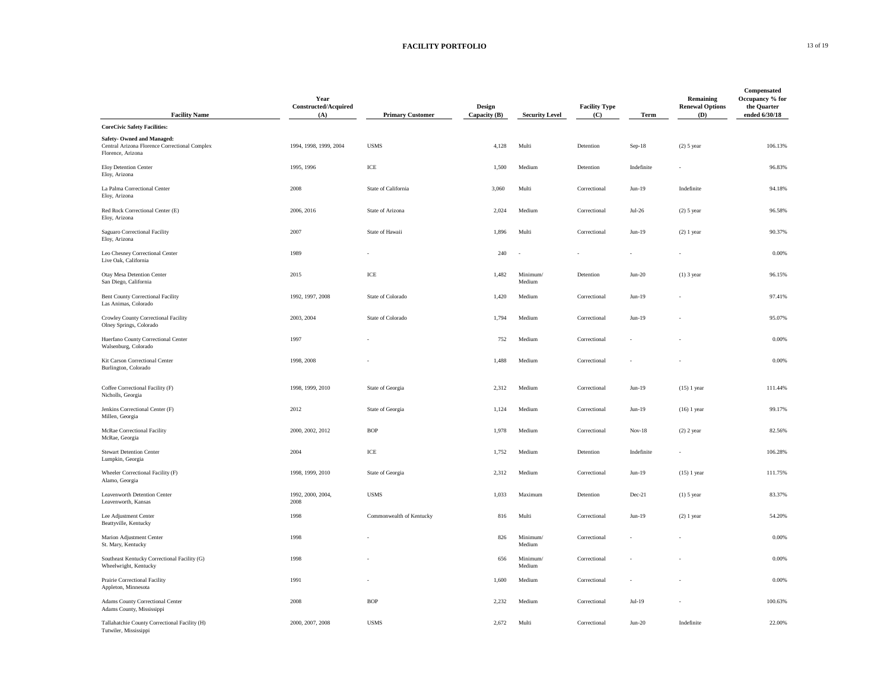## **FACILITY PORTFOLIO** 13 of 19

| <b>Facility Name</b>                                                                             | Year<br>Constructed/Acquired<br>(A) | <b>Primary Customer</b>              | <b>Design</b><br>Capacity (B) | <b>Security Level</b> | <b>Facility Type</b><br>(C) | Term       | <b>Remaining</b><br><b>Renewal Options</b><br>(D) | Compensated<br>Occupancy % for<br>the Quarter<br>ended 6/30/18 |
|--------------------------------------------------------------------------------------------------|-------------------------------------|--------------------------------------|-------------------------------|-----------------------|-----------------------------|------------|---------------------------------------------------|----------------------------------------------------------------|
| <b>CoreCivic Safety Facilities:</b>                                                              |                                     |                                      |                               |                       |                             |            |                                                   |                                                                |
| Safety- Owned and Managed:<br>Central Arizona Florence Correctional Complex<br>Florence, Arizona | 1994, 1998, 1999, 2004              | <b>USMS</b>                          | 4,128                         | Multi                 | Detention                   | Sep-18     | $(2)$ 5 year                                      | 106.13%                                                        |
| Eloy Detention Center<br>Eloy, Arizona                                                           | 1995, 1996                          | ICE                                  | 1,500                         | Medium                | Detention                   | Indefinite |                                                   | 96.83%                                                         |
| La Palma Correctional Center<br>Eloy, Arizona                                                    | 2008                                | State of California                  | 3,060                         | Multi                 | Correctional                | $Jun-19$   | Indefinite                                        | 94.18%                                                         |
| Red Rock Correctional Center (E)<br>Eloy, Arizona                                                | 2006, 2016                          | State of Arizona                     | 2,024                         | Medium                | $\mbox{Correctional}$       | $Jul-26$   | $(2)$ 5 year                                      | 96.58%                                                         |
| Saguaro Correctional Facility<br>Eloy, Arizona                                                   | 2007                                | State of Hawaii                      | 1,896                         | Multi                 | Correctional                | $Jun-19$   | $(2)$ 1 year                                      | 90.37%                                                         |
| Leo Chesney Correctional Center<br>Live Oak, California                                          | 1989                                |                                      | 240                           | ÷.                    |                             | ä,         |                                                   | 0.00%                                                          |
| Otay Mesa Detention Center<br>San Diego, California                                              | 2015                                | $\ensuremath{\textup{\textbf{ICE}}}$ | 1,482                         | Minimum/<br>Medium    | Detention                   | $Jun-20$   | $(1)$ 3 year                                      | 96.15%                                                         |
| Bent County Correctional Facility<br>Las Animas, Colorado                                        | 1992, 1997, 2008                    | State of Colorado                    | 1,420                         | Medium                | Correctional                | $Jun-19$   |                                                   | 97.41%                                                         |
| Crowley County Correctional Facility<br>Olney Springs, Colorado                                  | 2003, 2004                          | State of Colorado                    | 1,794                         | Medium                | Correctional                | $Jun-19$   |                                                   | 95.07%                                                         |
| Huerfano County Correctional Center<br>Walsenburg, Colorado                                      | 1997                                |                                      | 752                           | Medium                | Correctional                |            |                                                   | 0.00%                                                          |
| Kit Carson Correctional Center<br>Burlington, Colorado                                           | 1998, 2008                          |                                      | 1,488                         | Medium                | Correctional                |            |                                                   | 0.00%                                                          |
| Coffee Correctional Facility (F)<br>Nicholls, Georgia                                            | 1998, 1999, 2010                    | State of Georgia                     | 2,312                         | Medium                | Correctional                | $Jun-19$   | $(15)$ 1 year                                     | 111.44%                                                        |
| Jenkins Correctional Center (F)<br>Millen, Georgia                                               | 2012                                | State of Georgia                     | 1,124                         | Medium                | Correctional                | $Jun-19$   | $(16)$ 1 year                                     | 99.17%                                                         |
| McRae Correctional Facility<br>McRae, Georgia                                                    | 2000, 2002, 2012                    | <b>BOP</b>                           | 1,978                         | Medium                | Correctional                | $Nov-18$   | $(2)$ 2 year                                      | 82.56%                                                         |
| <b>Stewart Detention Center</b><br>Lumpkin, Georgia                                              | 2004                                | $\ensuremath{\text{ICE}}$            | 1,752                         | Medium                | Detention                   | Indefinite |                                                   | 106.28%                                                        |
| Wheeler Correctional Facility (F)<br>Alamo, Georgia                                              | 1998, 1999, 2010                    | State of Georgia                     | 2,312                         | Medium                | Correctional                | $Jun-19$   | $(15)$ 1 year                                     | 111.75%                                                        |
| Leavenworth Detention Center<br>Leavenworth, Kansas                                              | 1992, 2000, 2004,<br>2008           | <b>USMS</b>                          | 1,033                         | Maximum               | Detention                   | Dec-21     | $(1)$ 5 year                                      | 83.37%                                                         |
| Lee Adjustment Center<br>Beattyville, Kentucky                                                   | 1998                                | Commonwealth of Kentucky             | 816                           | Multi                 | Correctional                | $Jun-19$   | $(2)$ 1 year                                      | 54.20%                                                         |
| Marion Adjustment Center<br>St. Mary, Kentucky                                                   | 1998                                |                                      | 826                           | Minimum/<br>Medium    | Correctional                |            |                                                   | 0.00%                                                          |
| Southeast Kentucky Correctional Facility (G)<br>Wheelwright, Kentucky                            | 1998                                |                                      | 656                           | Minimum/<br>Medium    | Correctional                |            |                                                   | 0.00%                                                          |
| Prairie Correctional Facility<br>Appleton, Minnesota                                             | 1991                                |                                      | 1,600                         | Medium                | Correctional                |            |                                                   | 0.00%                                                          |
| Adams County Correctional Center<br>Adams County, Mississippi                                    | 2008                                | <b>BOP</b>                           | 2,232                         | Medium                | Correctional                | $Jul-19$   |                                                   | 100.63%                                                        |
| Tallahatchie County Correctional Facility (H)<br>Tutwiler, Mississippi                           | 2000, 2007, 2008                    | <b>USMS</b>                          | 2,672                         | Multi                 | Correctional                | $Jun-20$   | Indefinite                                        | 22.00%                                                         |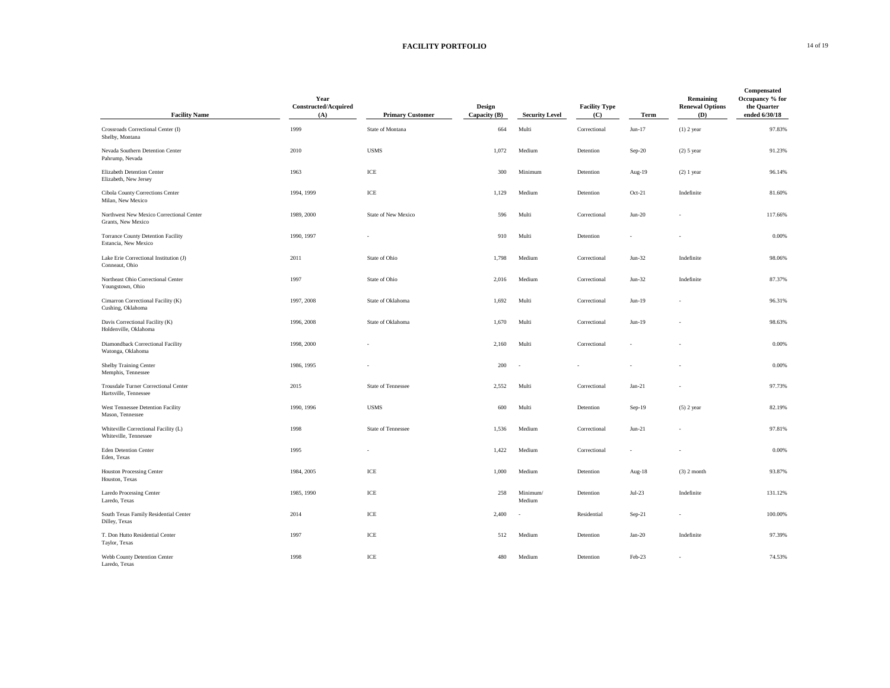## **FACILITY PORTFOLIO** 14 of 19

| <b>Facility Name</b>                                              | Year<br>Constructed/Acquired<br>(A) | <b>Primary Customer</b>              | Design<br>Capacity (B) | <b>Security Level</b> | <b>Facility Type</b><br>(C) | Term     | Remaining<br><b>Renewal Options</b><br>(D) | Compensated<br>Occupancy % for<br>the Quarter<br>ended 6/30/18 |
|-------------------------------------------------------------------|-------------------------------------|--------------------------------------|------------------------|-----------------------|-----------------------------|----------|--------------------------------------------|----------------------------------------------------------------|
| Crossroads Correctional Center (I)<br>Shelby, Montana             | 1999                                | State of Montana                     | 664                    | Multi                 | Correctional                | $Jun-17$ | $(1)$ 2 year                               | 97.83%                                                         |
| Nevada Southern Detention Center<br>Pahrump, Nevada               | 2010                                | <b>USMS</b>                          | 1,072                  | Medium                | Detention                   | Sep-20   | $(2)$ 5 year                               | 91.23%                                                         |
| Elizabeth Detention Center<br>Elizabeth, New Jersey               | 1963                                | ICE                                  | 300                    | Minimum               | Detention                   | Aug-19   | $(2)$ 1 year                               | 96.14%                                                         |
| Cibola County Corrections Center<br>Milan, New Mexico             | 1994, 1999                          | ICE                                  | 1,129                  | Medium                | Detention                   | Oct-21   | Indefinite                                 | 81.60%                                                         |
| Northwest New Mexico Correctional Center<br>Grants, New Mexico    | 1989, 2000                          | State of New Mexico                  | 596                    | Multi                 | Correctional                | $Jun-20$ |                                            | 117.66%                                                        |
| <b>Torrance County Detention Facility</b><br>Estancia, New Mexico | 1990, 1997                          |                                      | 910                    | Multi                 | Detention                   |          |                                            | 0.00%                                                          |
| Lake Erie Correctional Institution (J)<br>Conneaut, Ohio          | 2011                                | State of Ohio                        | 1,798                  | Medium                | Correctional                | $Jun-32$ | Indefinite                                 | 98.06%                                                         |
| Northeast Ohio Correctional Center<br>Youngstown, Ohio            | 1997                                | State of Ohio                        | 2,016                  | Medium                | Correctional                | $Jun-32$ | Indefinite                                 | 87.37%                                                         |
| Cimarron Correctional Facility (K)<br>Cushing, Oklahoma           | 1997, 2008                          | State of Oklahoma                    | 1,692                  | Multi                 | Correctional                | $Jun-19$ |                                            | 96.31%                                                         |
| Davis Correctional Facility (K)<br>Holdenville, Oklahoma          | 1996, 2008                          | State of Oklahoma                    | 1,670                  | Multi                 | Correctional                | $Jun-19$ |                                            | 98.63%                                                         |
| Diamondback Correctional Facility<br>Watonga, Oklahoma            | 1998, 2000                          |                                      | 2,160                  | Multi                 | Correctional                |          |                                            | 0.00%                                                          |
| Shelby Training Center<br>Memphis, Tennessee                      | 1986, 1995                          |                                      | 200                    | $\sim$                |                             |          |                                            | 0.00%                                                          |
| Trousdale Turner Correctional Center<br>Hartsville, Tennessee     | 2015                                | State of Tennessee                   | 2,552                  | Multi                 | Correctional                | $Jan-21$ |                                            | 97.73%                                                         |
| West Tennessee Detention Facility<br>Mason, Tennessee             | 1990, 1996                          | <b>USMS</b>                          | 600                    | Multi                 | Detention                   | Sep-19   | $(5)$ 2 year                               | 82.19%                                                         |
| Whiteville Correctional Facility (L)<br>Whiteville, Tennessee     | 1998                                | State of Tennessee                   | 1,536                  | Medium                | Correctional                | $Jun-21$ |                                            | 97.81%                                                         |
| <b>Eden Detention Center</b><br>Eden, Texas                       | 1995                                |                                      | 1,422                  | Medium                | Correctional                | ٠        |                                            | 0.00%                                                          |
| <b>Houston Processing Center</b><br>Houston, Texas                | 1984, 2005                          | ICE                                  | 1,000                  | Medium                | Detention                   | Aug-18   | $(3)$ 2 month                              | 93.87%                                                         |
| Laredo Processing Center<br>Laredo, Texas                         | 1985, 1990                          | ICE                                  | 258                    | Minimum/<br>Medium    | Detention                   | $Jul-23$ | Indefinite                                 | 131.12%                                                        |
| South Texas Family Residential Center<br>Dilley, Texas            | 2014                                | $\ensuremath{\textup{\textbf{ICE}}}$ | 2,400                  | $\sim$                | Residential                 | Sep-21   |                                            | 100.00%                                                        |
| T. Don Hutto Residential Center<br>Taylor, Texas                  | 1997                                | ICE                                  | 512                    | Medium                | Detention                   | $Jan-20$ | Indefinite                                 | 97.39%                                                         |
| Webb County Detention Center<br>Laredo, Texas                     | 1998                                | ICE                                  | 480                    | Medium                | Detention                   | Feb-23   |                                            | 74.53%                                                         |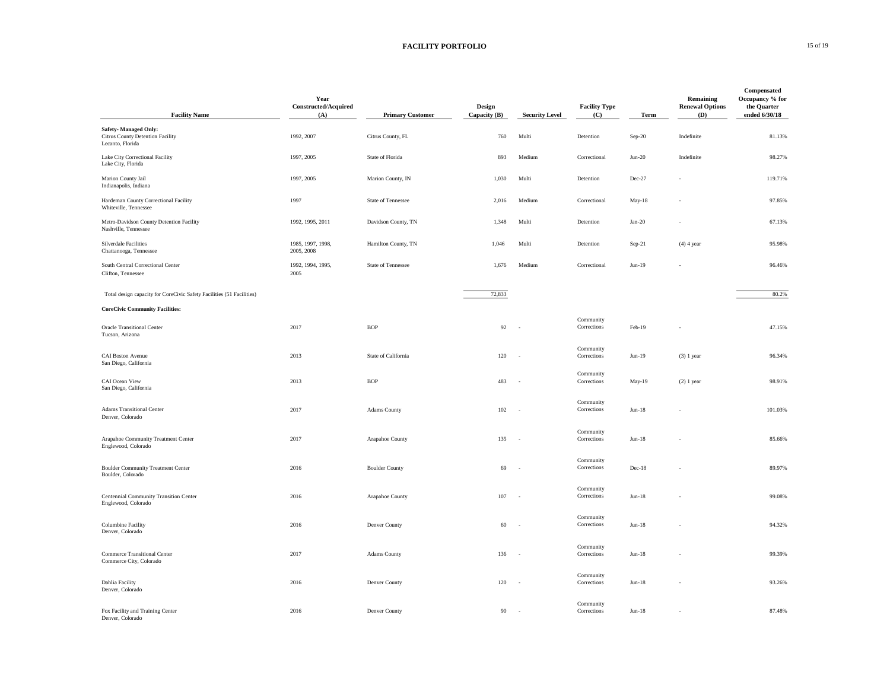## **FACILITY PORTFOLIO** 15 of 19

| <b>Facility Name</b>                                                         | Year<br>Constructed/Acquired<br>(A) | <b>Primary Customer</b> | Design<br>Capacity (B) | <b>Security Level</b>    | <b>Facility Type</b><br>(C) | Term     | Remaining<br><b>Renewal Options</b><br>(D) | Compensated<br>Occupancy % for<br>the Quarter<br>ended 6/30/18 |
|------------------------------------------------------------------------------|-------------------------------------|-------------------------|------------------------|--------------------------|-----------------------------|----------|--------------------------------------------|----------------------------------------------------------------|
| Safety-Managed Only:<br>Citrus County Detention Facility<br>Lecanto, Florida | 1992, 2007                          | Citrus County, FL       | 760                    | Multi                    | Detention                   | Sep-20   | Indefinite                                 | 81.13%                                                         |
| Lake City Correctional Facility<br>Lake City, Florida                        | 1997, 2005                          | State of Florida        | 893                    | Medium                   | Correctional                | $Jun-20$ | Indefinite                                 | 98.27%                                                         |
| Marion County Jail<br>Indianapolis, Indiana                                  | 1997, 2005                          | Marion County, IN       | 1,030                  | Multi                    | Detention                   | Dec-27   |                                            | 119.71%                                                        |
| Hardeman County Correctional Facility<br>Whiteville, Tennessee               | 1997                                | State of Tennessee      | 2,016                  | Medium                   | Correctional                | May-18   |                                            | 97.85%                                                         |
| Metro-Davidson County Detention Facility<br>Nashville, Tennessee             | 1992, 1995, 2011                    | Davidson County, TN     | 1,348                  | Multi                    | Detention                   | $Jan-20$ |                                            | 67.13%                                                         |
| Silverdale Facilities<br>Chattanooga, Tennessee                              | 1985, 1997, 1998,<br>2005, 2008     | Hamilton County, TN     | 1,046                  | Multi                    | Detention                   | Sep-21   | $(4)$ 4 year                               | 95.98%                                                         |
| South Central Correctional Center<br>Clifton, Tennessee                      | 1992, 1994, 1995,<br>2005           | State of Tennessee      | 1,676                  | Medium                   | Correctional                | $Jun-19$ |                                            | 96.46%                                                         |
| Total design capacity for CoreCivic Safety Facilities (51 Facilities)        |                                     |                         | 72,833                 |                          |                             |          |                                            | 80.2%                                                          |
| <b>CoreCivic Community Facilities:</b>                                       |                                     |                         |                        |                          |                             |          |                                            |                                                                |
| <b>Oracle Transitional Center</b><br>Tucson, Arizona                         | 2017                                | <b>BOP</b>              | 92                     | $\sim$                   | Community<br>Corrections    | Feb-19   |                                            | 47.15%                                                         |
| <b>CAI Boston Avenue</b><br>San Diego, California                            | 2013                                | State of California     | 120                    | $\overline{\phantom{a}}$ | Community<br>Corrections    | $Jun-19$ | $(3)$ 1 year                               | 96.34%                                                         |
| CAI Ocean View<br>San Diego, California                                      | 2013                                | <b>BOP</b>              | 483                    | ٠.                       | Community<br>Corrections    | May-19   | $(2) 1$ year                               | 98.91%                                                         |
| <b>Adams Transitional Center</b><br>Denver, Colorado                         | 2017                                | Adams County            | 102                    | $\sim$                   | Community<br>Corrections    | $Jun-18$ |                                            | 101.03%                                                        |
| Arapahoe Community Treatment Center<br>Englewood, Colorado                   | 2017                                | Arapahoe County         | 135                    | ÷.                       | Community<br>Corrections    | $Jun-18$ |                                            | 85.66%                                                         |
| <b>Boulder Community Treatment Center</b><br>Boulder, Colorado               | 2016                                | <b>Boulder County</b>   | 69                     | ÷.                       | Community<br>Corrections    | Dec-18   |                                            | 89.97%                                                         |
| Centennial Community Transition Center<br>Englewood, Colorado                | 2016                                | Arapahoe County         | 107                    | $\sim$                   | Community<br>Corrections    | $Jun-18$ |                                            | 99.08%                                                         |
| Columbine Facility<br>Denver, Colorado                                       | 2016                                | Denver County           | 60                     | ÷.                       | Community<br>Corrections    | $Jun-18$ |                                            | 94.32%                                                         |
| <b>Commerce Transitional Center</b><br>Commerce City, Colorado               | 2017                                | Adams County            | 136                    | $\sim$                   | Community<br>Corrections    | $Jun-18$ |                                            | 99.39%                                                         |
| Dahlia Facility<br>Denver, Colorado                                          | 2016                                | Denver County           | 120                    | $\sim$                   | Community<br>Corrections    | $Jun-18$ |                                            | 93.26%                                                         |
| Fox Facility and Training Center<br>Denver, Colorado                         | 2016                                | Denver County           | 90                     |                          | Community<br>Corrections    | $Jun-18$ |                                            | 87.48%                                                         |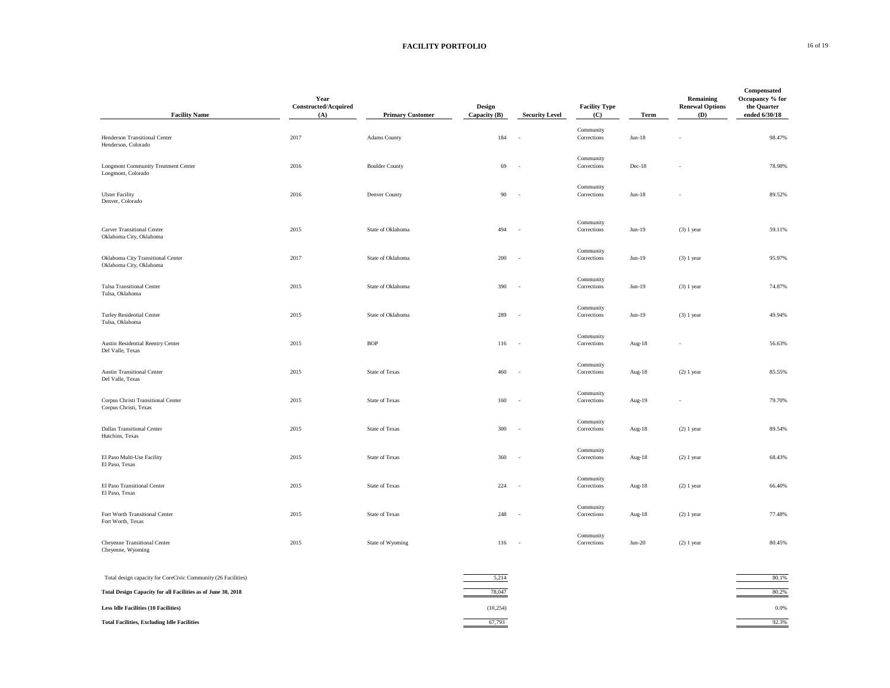## **FACILITY PORTFOLIO** 16 of 19

| <b>Facility Name</b>                                             | Year<br>Constructed/Acquired<br>(A) | <b>Primary Customer</b> | Design<br>Capacity (B) | <b>Security Level</b>    | <b>Facility Type</b><br>(C) | Term     | Remaining<br><b>Renewal Options</b><br>(D) | Compensated<br>Occupancy % for<br>the Quarter<br>ended 6/30/18 |
|------------------------------------------------------------------|-------------------------------------|-------------------------|------------------------|--------------------------|-----------------------------|----------|--------------------------------------------|----------------------------------------------------------------|
| Henderson Transitional Center<br>Henderson, Colorado             | 2017                                | Adams County            | 184                    | $\sim$                   | Community<br>Corrections    | $Jun-18$ |                                            | 98.47%                                                         |
| <b>Longmont Community Treatment Center</b><br>Longmont, Colorado | 2016                                | <b>Boulder County</b>   | 69                     | J,                       | Community<br>Corrections    | Dec-18   |                                            | 78.98%                                                         |
| <b>Ulster Facility</b><br>Denver, Colorado                       | 2016                                | Denver County           | 90                     | $\sim$                   | Community<br>Corrections    | $Jun-18$ |                                            | 89.52%                                                         |
| Carver Transitional Center<br>Oklahoma City, Oklahoma            | 2015                                | State of Oklahoma       | 494                    | ×.                       | Community<br>Corrections    | $Jun-19$ | $(3)$ 1 year                               | 59.11%                                                         |
| Oklahoma City Transitional Center<br>Oklahoma City, Oklahoma     | 2017                                | State of Oklahoma       | 200                    | ×,                       | Community<br>Corrections    | $Jun-19$ | $(3) 1$ year                               | 95.97%                                                         |
| <b>Tulsa Transitional Center</b><br>Tulsa, Oklahoma              | 2015                                | State of Oklahoma       | 390                    | $\sim$                   | Community<br>Corrections    | $Jun-19$ | $(3) 1$ year                               | 74.87%                                                         |
| Turley Residential Center<br>Tulsa, Oklahoma                     | 2015                                | State of Oklahoma       | 289                    | ٠.                       | Community<br>Corrections    | $Jun-19$ | $(3)$ 1 year                               | 49.94%                                                         |
| Austin Residential Reentry Center<br>Del Valle, Texas            | 2015                                | <b>BOP</b>              | 116                    | $\sim$                   | Community<br>Corrections    | Aug-18   |                                            | 56.63%                                                         |
| Austin Transitional Center<br>Del Valle, Texas                   | 2015                                | State of Texas          | 460                    | ÷.                       | Community<br>Corrections    | Aug-18   | $(2) 1$ year                               | 85.55%                                                         |
| Corpus Christi Transitional Center<br>Corpus Christi, Texas      | 2015                                | <b>State of Texas</b>   | 160                    | $\sim$                   | Community<br>Corrections    | Aug-19   |                                            | 79.70%                                                         |
| <b>Dallas Transitional Center</b><br>Hutchins, Texas             | 2015                                | <b>State of Texas</b>   | 300                    | $\sim$                   | Community<br>Corrections    | Aug-18   | $(2) 1$ year                               | 89.54%                                                         |
| El Paso Multi-Use Facility<br>El Paso, Texas                     | 2015                                | <b>State of Texas</b>   | 360                    | $\overline{\phantom{a}}$ | Community<br>Corrections    | Aug-18   | $(2)$ 1 year                               | 68.43%                                                         |
| El Paso Transitional Center<br>El Paso, Texas                    | 2015                                | <b>State of Texas</b>   | 224                    | $\sim$                   | Community<br>Corrections    | Aug-18   | $(2) 1$ year                               | 66.40%                                                         |
| Fort Worth Transitional Center<br>Fort Worth, Texas              | 2015                                | State of Texas          | 248                    | $\sim$                   | Community<br>Corrections    | Aug-18   | $(2) 1$ year                               | 77.48%                                                         |
| Cheyenne Transitional Center<br>Cheyenne, Wyoming                | 2015                                | State of Wyoming        | 116                    | $\sim$                   | Community<br>Corrections    | $Jun-20$ | $(2) 1$ year                               | 80.45%                                                         |
| Total design capacity for CoreCivic Community (26 Facilities)    |                                     |                         | 5,214                  |                          |                             |          |                                            | 80.1%                                                          |
| Total Design Capacity for all Facilities as of June 30, 2018     |                                     |                         | 78,047                 |                          |                             |          |                                            | 80.2%                                                          |
| <b>Less Idle Facilities (10 Facilities)</b>                      |                                     |                         | (10, 254)              |                          |                             |          |                                            | 0.0%                                                           |
| <b>Total Facilities, Excluding Idle Facilities</b>               |                                     |                         | 67,793                 |                          |                             |          |                                            | 92.3%                                                          |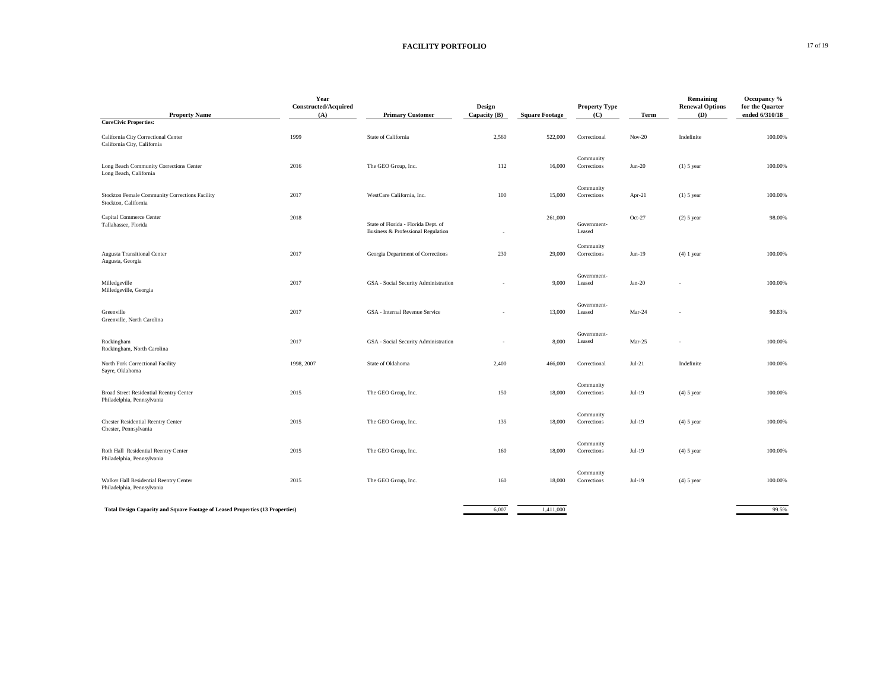## **FACILITY PORTFOLIO** 17 of 19

| <b>Property Name</b>                                                          | Year<br>Constructed/Acquired<br>(A) | <b>Primary Customer</b>                                                   | Design<br>Capacity $(B)$ | <b>Square Footage</b> | <b>Property Type</b><br>(C) | Term     | <b>Remaining</b><br><b>Renewal Options</b><br>(D) | Occupancy %<br>for the Quarter<br>ended 6/310/18 |
|-------------------------------------------------------------------------------|-------------------------------------|---------------------------------------------------------------------------|--------------------------|-----------------------|-----------------------------|----------|---------------------------------------------------|--------------------------------------------------|
| <b>CoreCivic Properties:</b>                                                  |                                     |                                                                           |                          |                       |                             |          |                                                   |                                                  |
| California City Correctional Center<br>California City, California            | 1999                                | State of California                                                       | 2,560                    | 522,000               | Correctional                | $Nov-20$ | Indefinite                                        | 100,00%                                          |
| Long Beach Community Corrections Center<br>Long Beach, California             | 2016                                | The GEO Group, Inc.                                                       | 112                      | 16,000                | Community<br>Corrections    | $Jun-20$ | $(1)$ 5 year                                      | 100.00%                                          |
| Stockton Female Community Corrections Facility<br>Stockton, California        | 2017                                | WestCare California, Inc.                                                 | 100                      | 15,000                | Community<br>Corrections    | Apr-21   | $(1)$ 5 year                                      | 100.00%                                          |
| Capital Commerce Center<br>Tallahassee, Florida                               | 2018                                | State of Florida - Florida Dept. of<br>Business & Professional Regulation |                          | 261,000               | Government-<br>Leased       | $Oct-27$ | $(2)$ 5 year                                      | 98.00%                                           |
| <b>Augusta Transitional Center</b><br>Augusta, Georgia                        | 2017                                | Georgia Department of Corrections                                         | 230                      | 29,000                | Community<br>Corrections    | $Jun-19$ | $(4)$ 1 year                                      | 100.00%                                          |
| Milledgeville<br>Milledgeville, Georgia                                       | 2017                                | GSA - Social Security Administration                                      |                          | 9,000                 | Government-<br>Leased       | $Jan-20$ |                                                   | 100.00%                                          |
| Greenville<br>Greenville, North Carolina                                      | 2017                                | GSA - Internal Revenue Service                                            |                          | 13,000                | Government-<br>Leased       | Mar-24   |                                                   | 90.83%                                           |
| Rockingham<br>Rockingham, North Carolina                                      | 2017                                | GSA - Social Security Administration                                      | ٠                        | 8,000                 | Government-<br>Leased       | Mar-25   |                                                   | 100.00%                                          |
| North Fork Correctional Facility<br>Sayre, Oklahoma                           | 1998, 2007                          | State of Oklahoma                                                         | 2,400                    | 466,000               | Correctional                | $Jul-21$ | Indefinite                                        | 100.00%                                          |
| Broad Street Residential Reentry Center<br>Philadelphia, Pennsylvania         | 2015                                | The GEO Group, Inc.                                                       | 150                      | 18,000                | Community<br>Corrections    | Jul-19   | $(4)$ 5 year                                      | 100.00%                                          |
| Chester Residential Reentry Center<br>Chester, Pennsylvania                   | 2015                                | The GEO Group, Inc.                                                       | 135                      | 18,000                | Community<br>Corrections    | Jul-19   | $(4)$ 5 year                                      | 100.00%                                          |
| Roth Hall Residential Reentry Center<br>Philadelphia, Pennsylvania            | 2015                                | The GEO Group, Inc.                                                       | 160                      | 18,000                | Community<br>Corrections    | Jul-19   | $(4)$ 5 year                                      | 100.00%                                          |
| Walker Hall Residential Reentry Center<br>Philadelphia, Pennsylvania          | 2015                                | The GEO Group, Inc.                                                       | 160                      | 18,000                | Community<br>Corrections    | $Jul-19$ | $(4)$ 5 year                                      | 100.00%                                          |
| Total Design Capacity and Square Footage of Leased Properties (13 Properties) |                                     |                                                                           | 6,007                    | 1,411,000             |                             |          |                                                   | 99.5%                                            |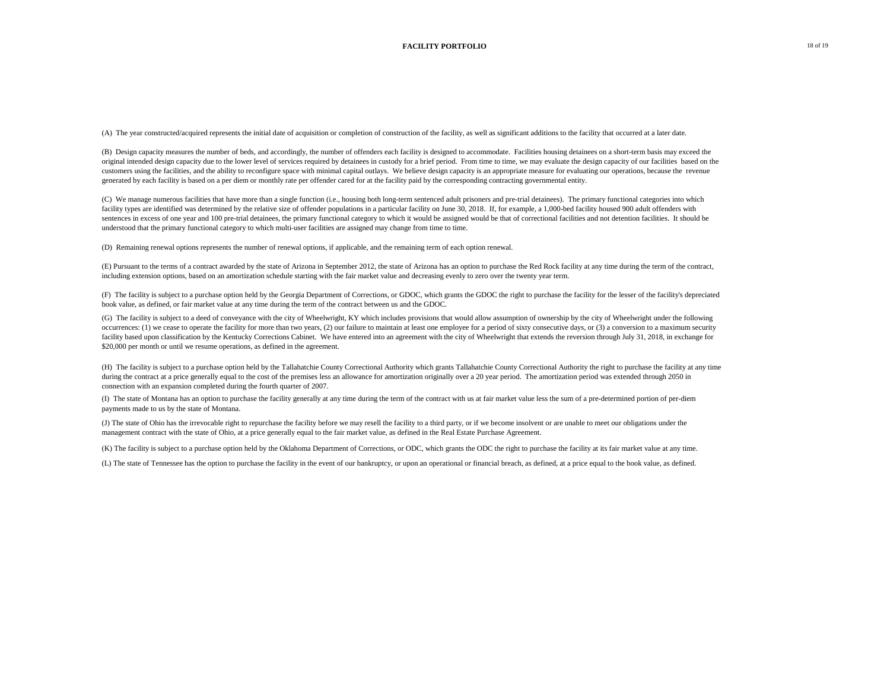(A) The year constructed/acquired represents the initial date of acquisition or completion of construction of the facility, as well as significant additions to the facility that occurred at a later date.

(B) Design capacity measures the number of beds, and accordingly, the number of offenders each facility is designed to accommodate. Facilities housing detainees on a short-term basis may exceed the original intended design capacity due to the lower level of services required by detainees in custody for a brief period. From time to time, we may evaluate the design capacity of our facilities based on the customers using the facilities, and the ability to reconfigure space with minimal capital outlays. We believe design capacity is an appropriate measure for evaluating our operations, because the revenue generated by each facility is based on a per diem or monthly rate per offender cared for at the facility paid by the corresponding contracting governmental entity.

(C) We manage numerous facilities that have more than a single function (i.e., housing both long-term sentenced adult prisoners and pre-trial detainees). The primary functional categories into which facility types are identified was determined by the relative size of offender populations in a particular facility on June 30, 2018. If, for example, a 1,000-bed facility housed 900 adult offenders with sentences in excess of one year and 100 pre-trial detainees, the primary functional category to which it would be assigned would be that of correctional facilities and not detention facilities. It should be understood that the primary functional category to which multi-user facilities are assigned may change from time to time.

(D) Remaining renewal options represents the number of renewal options, if applicable, and the remaining term of each option renewal.

(E) Pursuant to the terms of a contract awarded by the state of Arizona in September 2012, the state of Arizona has an option to purchase the Red Rock facility at any time during the term of the contract, including extension options, based on an amortization schedule starting with the fair market value and decreasing evenly to zero over the twenty year term.

(F) The facility is subject to a purchase option held by the Georgia Department of Corrections, or GDOC, which grants the GDOC the right to purchase the facility for the lesser of the facility's depreciated book value, as defined, or fair market value at any time during the term of the contract between us and the GDOC.

(G) The facility is subject to a deed of conveyance with the city of Wheelwright, KY which includes provisions that would allow assumption of ownership by the city of Wheelwright under the following occurrences: (1) we cease to operate the facility for more than two years, (2) our failure to maintain at least one employee for a period of sixty consecutive days, or (3) a conversion to a maximum security facility based upon classification by the Kentucky Corrections Cabinet. We have entered into an agreement with the city of Wheelwright that extends the reversion through July 31, 2018, in exchange for \$20,000 per month or until we resume operations, as defined in the agreement.

(H) The facility is subject to a purchase option held by the Tallahatchie County Correctional Authority which grants Tallahatchie County Correctional Authority the right to purchase the facility at any time during the contract at a price generally equal to the cost of the premises less an allowance for amortization originally over a 20 year period. The amortization period was extended through 2050 in connection with an expansion completed during the fourth quarter of 2007.

(I) The state of Montana has an option to purchase the facility generally at any time during the term of the contract with us at fair market value less the sum of a pre-determined portion of per-diem payments made to us by the state of Montana.

(J) The state of Ohio has the irrevocable right to repurchase the facility before we may resell the facility to a third party, or if we become insolvent or are unable to meet our obligations under the management contract with the state of Ohio, at a price generally equal to the fair market value, as defined in the Real Estate Purchase Agreement.

(K) The facility is subject to a purchase option held by the Oklahoma Department of Corrections, or ODC, which grants the ODC the right to purchase the facility at its fair market value at any time.

(L) The state of Tennessee has the option to purchase the facility in the event of our bankruptcy, or upon an operational or financial breach, as defined, at a price equal to the book value, as defined.